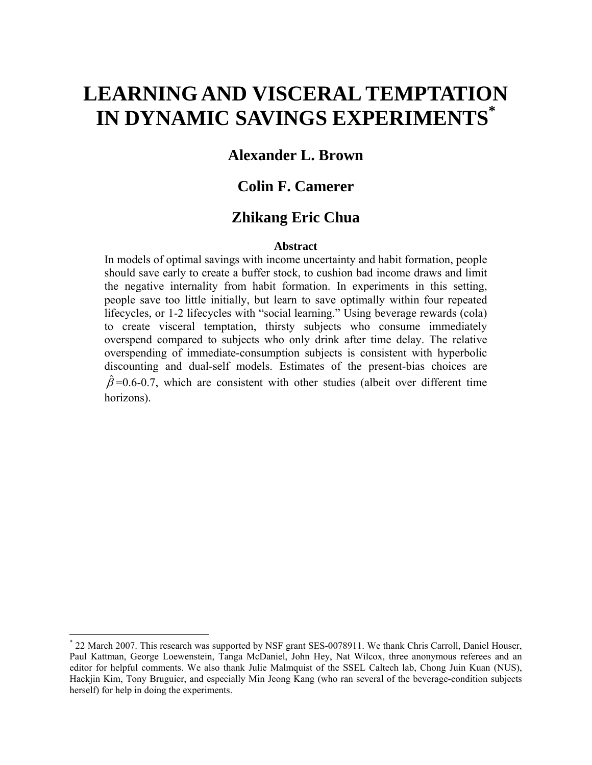# **LEARNING AND VISCERAL TEMPTATION IN DYNAMIC SAVINGS EXPERIMENTS\***

### **Alexander L. Brown**

### **Colin F. Camerer**

### **Zhikang Eric Chua**

#### **Abstract**

In models of optimal savings with income uncertainty and habit formation, people should save early to create a buffer stock, to cushion bad income draws and limit the negative internality from habit formation. In experiments in this setting, people save too little initially, but learn to save optimally within four repeated lifecycles, or 1-2 lifecycles with "social learning." Using beverage rewards (cola) to create visceral temptation, thirsty subjects who consume immediately overspend compared to subjects who only drink after time delay. The relative overspending of immediate-consumption subjects is consistent with hyperbolic discounting and dual-self models. Estimates of the present-bias choices are  $\hat{\beta}$ =0.6-0.7, which are consistent with other studies (albeit over different time horizons).

1

<sup>\*</sup> 22 March 2007. This research was supported by NSF grant SES-0078911. We thank Chris Carroll, Daniel Houser, Paul Kattman, George Loewenstein, Tanga McDaniel, John Hey, Nat Wilcox, three anonymous referees and an editor for helpful comments. We also thank Julie Malmquist of the SSEL Caltech lab, Chong Juin Kuan (NUS), Hackjin Kim, Tony Bruguier, and especially Min Jeong Kang (who ran several of the beverage-condition subjects herself) for help in doing the experiments.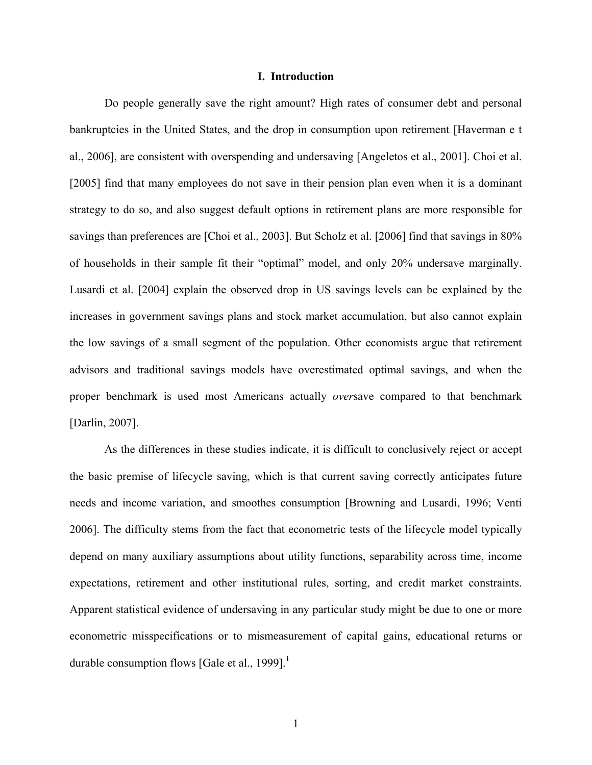#### **I. Introduction**

 Do people generally save the right amount? High rates of consumer debt and personal bankruptcies in the United States, and the drop in consumption upon retirement [Haverman e t al., 2006], are consistent with overspending and undersaving [Angeletos et al., 2001]. Choi et al. [2005] find that many employees do not save in their pension plan even when it is a dominant strategy to do so, and also suggest default options in retirement plans are more responsible for savings than preferences are [Choi et al., 2003]. But Scholz et al. [2006] find that savings in 80% of households in their sample fit their "optimal" model, and only 20% undersave marginally. Lusardi et al. [2004] explain the observed drop in US savings levels can be explained by the increases in government savings plans and stock market accumulation, but also cannot explain the low savings of a small segment of the population. Other economists argue that retirement advisors and traditional savings models have overestimated optimal savings, and when the proper benchmark is used most Americans actually *over*save compared to that benchmark [Darlin, 2007].

 As the differences in these studies indicate, it is difficult to conclusively reject or accept the basic premise of lifecycle saving, which is that current saving correctly anticipates future needs and income variation, and smoothes consumption [Browning and Lusardi, 1996; Venti 2006]. The difficulty stems from the fact that econometric tests of the lifecycle model typically depend on many auxiliary assumptions about utility functions, separability across time, income expectations, retirement and other institutional rules, sorting, and credit market constraints. Apparent statistical evidence of undersaving in any particular study might be due to one or more econometric misspecifications or to mismeasurement of capital gains, educational returns or durable consumption flows [Gale et al., 1999].<sup>1</sup>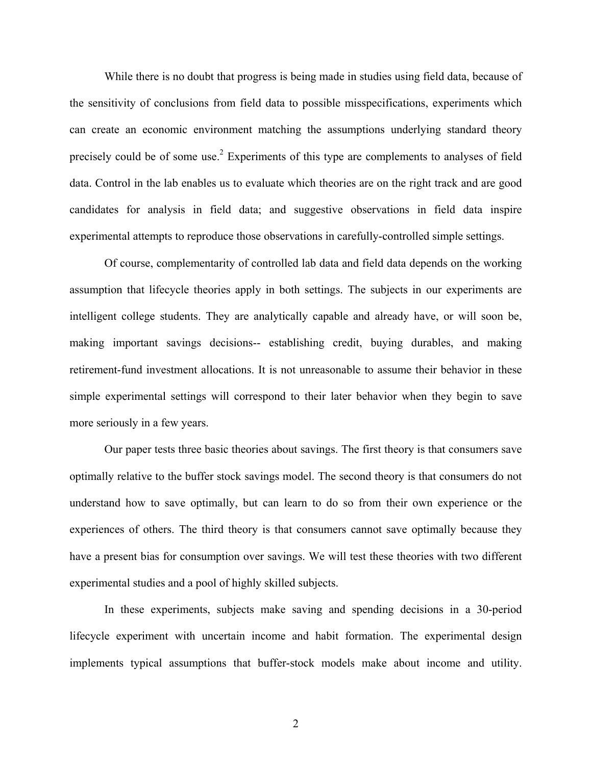While there is no doubt that progress is being made in studies using field data, because of the sensitivity of conclusions from field data to possible misspecifications, experiments which can create an economic environment matching the assumptions underlying standard theory precisely could be of some use.<sup>2</sup> Experiments of this type are complements to analyses of field data. Control in the lab enables us to evaluate which theories are on the right track and are good candidates for analysis in field data; and suggestive observations in field data inspire experimental attempts to reproduce those observations in carefully-controlled simple settings.

 Of course, complementarity of controlled lab data and field data depends on the working assumption that lifecycle theories apply in both settings. The subjects in our experiments are intelligent college students. They are analytically capable and already have, or will soon be, making important savings decisions-- establishing credit, buying durables, and making retirement-fund investment allocations. It is not unreasonable to assume their behavior in these simple experimental settings will correspond to their later behavior when they begin to save more seriously in a few years.

 Our paper tests three basic theories about savings. The first theory is that consumers save optimally relative to the buffer stock savings model. The second theory is that consumers do not understand how to save optimally, but can learn to do so from their own experience or the experiences of others. The third theory is that consumers cannot save optimally because they have a present bias for consumption over savings. We will test these theories with two different experimental studies and a pool of highly skilled subjects.

 In these experiments, subjects make saving and spending decisions in a 30-period lifecycle experiment with uncertain income and habit formation. The experimental design implements typical assumptions that buffer-stock models make about income and utility.

2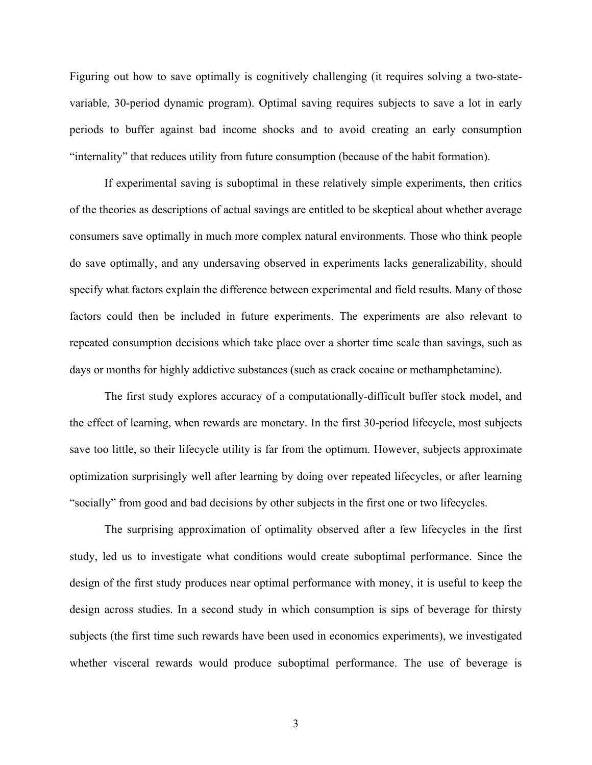Figuring out how to save optimally is cognitively challenging (it requires solving a two-statevariable, 30-period dynamic program). Optimal saving requires subjects to save a lot in early periods to buffer against bad income shocks and to avoid creating an early consumption "internality" that reduces utility from future consumption (because of the habit formation).

If experimental saving is suboptimal in these relatively simple experiments, then critics of the theories as descriptions of actual savings are entitled to be skeptical about whether average consumers save optimally in much more complex natural environments. Those who think people do save optimally, and any undersaving observed in experiments lacks generalizability, should specify what factors explain the difference between experimental and field results. Many of those factors could then be included in future experiments. The experiments are also relevant to repeated consumption decisions which take place over a shorter time scale than savings, such as days or months for highly addictive substances (such as crack cocaine or methamphetamine).

 The first study explores accuracy of a computationally-difficult buffer stock model, and the effect of learning, when rewards are monetary. In the first 30-period lifecycle, most subjects save too little, so their lifecycle utility is far from the optimum. However, subjects approximate optimization surprisingly well after learning by doing over repeated lifecycles, or after learning "socially" from good and bad decisions by other subjects in the first one or two lifecycles.

 The surprising approximation of optimality observed after a few lifecycles in the first study, led us to investigate what conditions would create suboptimal performance. Since the design of the first study produces near optimal performance with money, it is useful to keep the design across studies. In a second study in which consumption is sips of beverage for thirsty subjects (the first time such rewards have been used in economics experiments), we investigated whether visceral rewards would produce suboptimal performance. The use of beverage is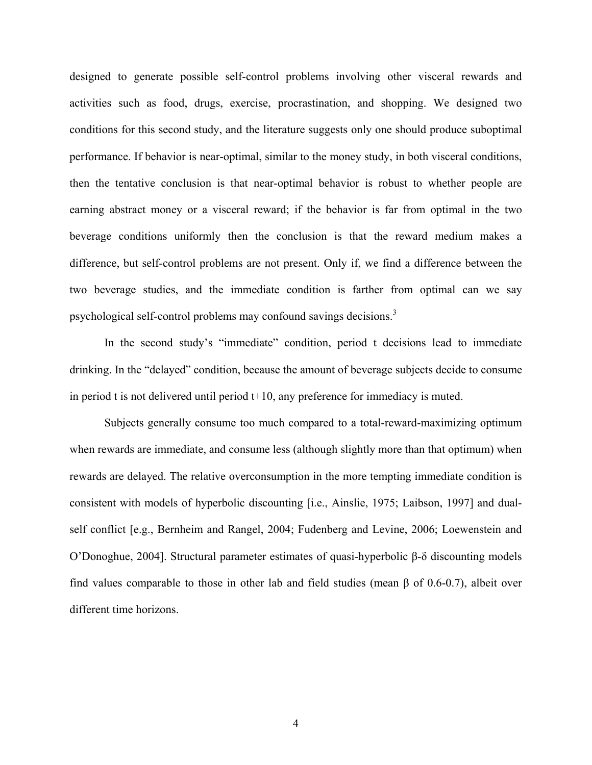designed to generate possible self-control problems involving other visceral rewards and activities such as food, drugs, exercise, procrastination, and shopping. We designed two conditions for this second study, and the literature suggests only one should produce suboptimal performance. If behavior is near-optimal, similar to the money study, in both visceral conditions, then the tentative conclusion is that near-optimal behavior is robust to whether people are earning abstract money or a visceral reward; if the behavior is far from optimal in the two beverage conditions uniformly then the conclusion is that the reward medium makes a difference, but self-control problems are not present. Only if, we find a difference between the two beverage studies, and the immediate condition is farther from optimal can we say psychological self-control problems may confound savings decisions.<sup>3</sup>

 In the second study's "immediate" condition, period t decisions lead to immediate drinking. In the "delayed" condition, because the amount of beverage subjects decide to consume in period t is not delivered until period t+10, any preference for immediacy is muted.

 Subjects generally consume too much compared to a total-reward-maximizing optimum when rewards are immediate, and consume less (although slightly more than that optimum) when rewards are delayed. The relative overconsumption in the more tempting immediate condition is consistent with models of hyperbolic discounting [i.e., Ainslie, 1975; Laibson, 1997] and dualself conflict [e.g., Bernheim and Rangel, 2004; Fudenberg and Levine, 2006; Loewenstein and O'Donoghue, 2004]. Structural parameter estimates of quasi-hyperbolic β-δ discounting models find values comparable to those in other lab and field studies (mean β of 0.6-0.7), albeit over different time horizons.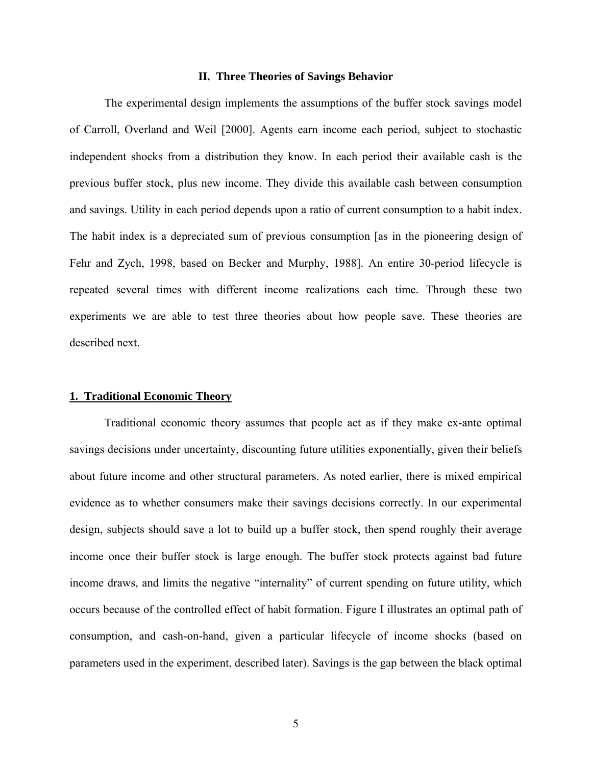#### **II. Three Theories of Savings Behavior**

 The experimental design implements the assumptions of the buffer stock savings model of Carroll, Overland and Weil [2000]. Agents earn income each period, subject to stochastic independent shocks from a distribution they know. In each period their available cash is the previous buffer stock, plus new income. They divide this available cash between consumption and savings. Utility in each period depends upon a ratio of current consumption to a habit index. The habit index is a depreciated sum of previous consumption [as in the pioneering design of Fehr and Zych, 1998, based on Becker and Murphy, 1988]. An entire 30-period lifecycle is repeated several times with different income realizations each time. Through these two experiments we are able to test three theories about how people save. These theories are described next.

#### **1. Traditional Economic Theory**

 Traditional economic theory assumes that people act as if they make ex-ante optimal savings decisions under uncertainty, discounting future utilities exponentially, given their beliefs about future income and other structural parameters. As noted earlier, there is mixed empirical evidence as to whether consumers make their savings decisions correctly. In our experimental design, subjects should save a lot to build up a buffer stock, then spend roughly their average income once their buffer stock is large enough. The buffer stock protects against bad future income draws, and limits the negative "internality" of current spending on future utility, which occurs because of the controlled effect of habit formation. Figure I illustrates an optimal path of consumption, and cash-on-hand, given a particular lifecycle of income shocks (based on parameters used in the experiment, described later). Savings is the gap between the black optimal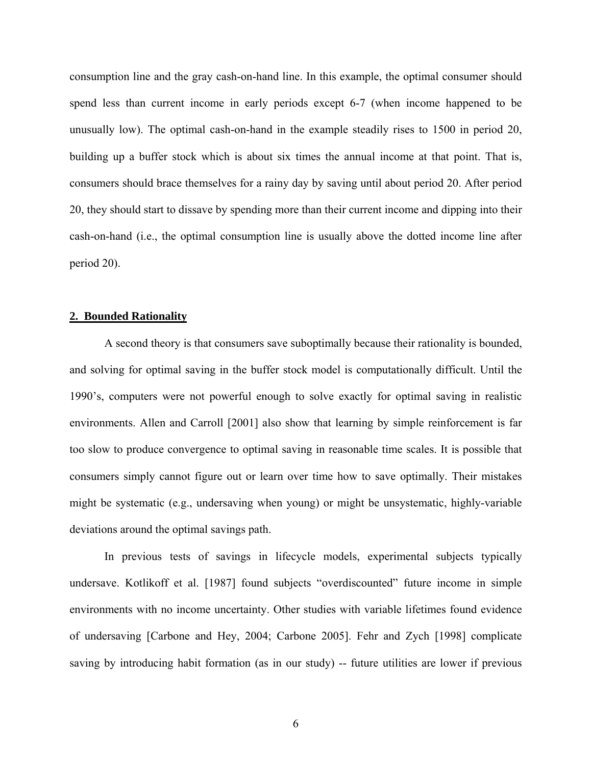consumption line and the gray cash-on-hand line. In this example, the optimal consumer should spend less than current income in early periods except 6-7 (when income happened to be unusually low). The optimal cash-on-hand in the example steadily rises to 1500 in period 20, building up a buffer stock which is about six times the annual income at that point. That is, consumers should brace themselves for a rainy day by saving until about period 20. After period 20, they should start to dissave by spending more than their current income and dipping into their cash-on-hand (i.e., the optimal consumption line is usually above the dotted income line after period 20).

#### **2. Bounded Rationality**

 A second theory is that consumers save suboptimally because their rationality is bounded, and solving for optimal saving in the buffer stock model is computationally difficult. Until the 1990's, computers were not powerful enough to solve exactly for optimal saving in realistic environments. Allen and Carroll [2001] also show that learning by simple reinforcement is far too slow to produce convergence to optimal saving in reasonable time scales. It is possible that consumers simply cannot figure out or learn over time how to save optimally. Their mistakes might be systematic (e.g., undersaving when young) or might be unsystematic, highly-variable deviations around the optimal savings path.

 In previous tests of savings in lifecycle models, experimental subjects typically undersave. Kotlikoff et al. [1987] found subjects "overdiscounted" future income in simple environments with no income uncertainty. Other studies with variable lifetimes found evidence of undersaving [Carbone and Hey, 2004; Carbone 2005]. Fehr and Zych [1998] complicate saving by introducing habit formation (as in our study) -- future utilities are lower if previous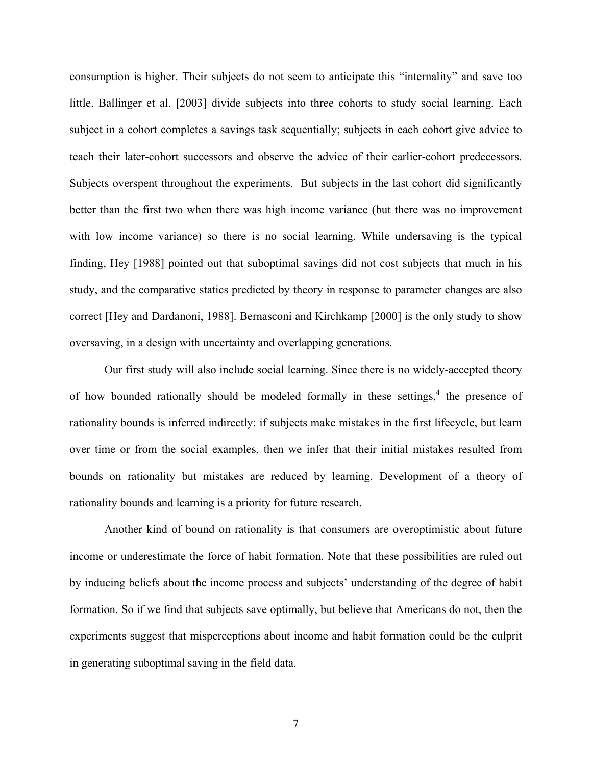consumption is higher. Their subjects do not seem to anticipate this "internality" and save too little. Ballinger et al. [2003] divide subjects into three cohorts to study social learning. Each subject in a cohort completes a savings task sequentially; subjects in each cohort give advice to teach their later-cohort successors and observe the advice of their earlier-cohort predecessors. Subjects overspent throughout the experiments. But subjects in the last cohort did significantly better than the first two when there was high income variance (but there was no improvement with low income variance) so there is no social learning. While undersaving is the typical finding, Hey [1988] pointed out that suboptimal savings did not cost subjects that much in his study, and the comparative statics predicted by theory in response to parameter changes are also correct [Hey and Dardanoni, 1988]. Bernasconi and Kirchkamp [2000] is the only study to show oversaving, in a design with uncertainty and overlapping generations.

 Our first study will also include social learning. Since there is no widely-accepted theory of how bounded rationally should be modeled formally in these settings,<sup>4</sup> the presence of rationality bounds is inferred indirectly: if subjects make mistakes in the first lifecycle, but learn over time or from the social examples, then we infer that their initial mistakes resulted from bounds on rationality but mistakes are reduced by learning. Development of a theory of rationality bounds and learning is a priority for future research.

 Another kind of bound on rationality is that consumers are overoptimistic about future income or underestimate the force of habit formation. Note that these possibilities are ruled out by inducing beliefs about the income process and subjects' understanding of the degree of habit formation. So if we find that subjects save optimally, but believe that Americans do not, then the experiments suggest that misperceptions about income and habit formation could be the culprit in generating suboptimal saving in the field data.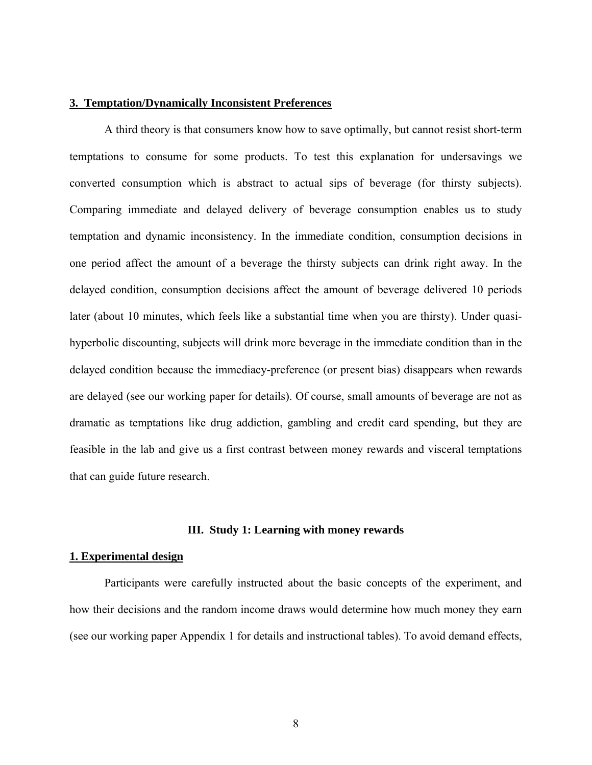#### **3. Temptation/Dynamically Inconsistent Preferences**

 A third theory is that consumers know how to save optimally, but cannot resist short-term temptations to consume for some products. To test this explanation for undersavings we converted consumption which is abstract to actual sips of beverage (for thirsty subjects). Comparing immediate and delayed delivery of beverage consumption enables us to study temptation and dynamic inconsistency. In the immediate condition, consumption decisions in one period affect the amount of a beverage the thirsty subjects can drink right away. In the delayed condition, consumption decisions affect the amount of beverage delivered 10 periods later (about 10 minutes, which feels like a substantial time when you are thirsty). Under quasihyperbolic discounting, subjects will drink more beverage in the immediate condition than in the delayed condition because the immediacy-preference (or present bias) disappears when rewards are delayed (see our working paper for details). Of course, small amounts of beverage are not as dramatic as temptations like drug addiction, gambling and credit card spending, but they are feasible in the lab and give us a first contrast between money rewards and visceral temptations that can guide future research.

#### **III. Study 1: Learning with money rewards**

#### **1. Experimental design**

 Participants were carefully instructed about the basic concepts of the experiment, and how their decisions and the random income draws would determine how much money they earn (see our working paper Appendix 1 for details and instructional tables). To avoid demand effects,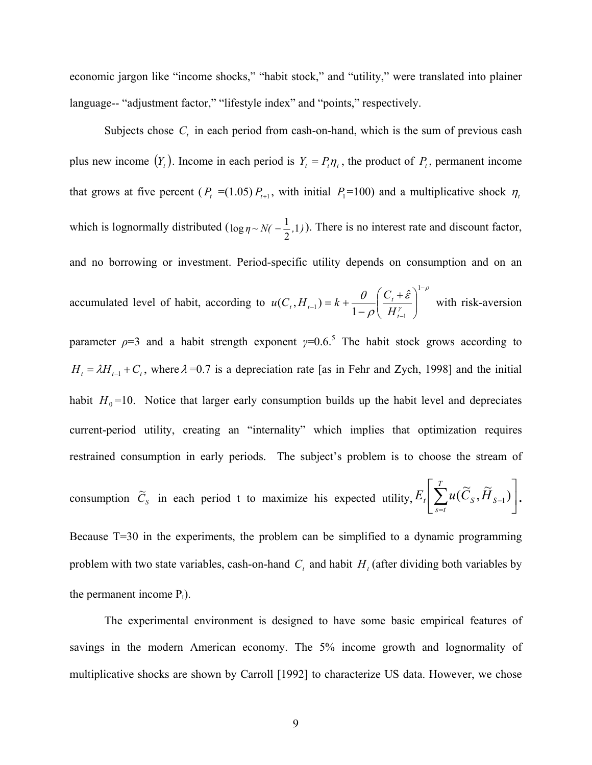economic jargon like "income shocks," "habit stock," and "utility," were translated into plainer language-- "adjustment factor," "lifestyle index" and "points," respectively.

Subjects chose  $C<sub>t</sub>$  in each period from cash-on-hand, which is the sum of previous cash plus new income  $(Y_t)$ . Income in each period is  $Y_t = P_t \eta_t$ , the product of  $P_t$ , permanent income that grows at five percent ( $P_t$  =(1.05) $P_{t+1}$ , with initial  $P_1$ =100) and a multiplicative shock  $\eta_t$ which is lognormally distributed  $(\log \eta \sim N(-\frac{1}{2}, 1))$ . There is no interest rate and discount factor, and no borrowing or investment. Period-specific utility depends on consumption and on an accumulated level of habit, according to ρ γ ε ρ  $\theta$   $(C + \hat{\varepsilon})^{1-}$  $\lambda_{-1}) = k + \frac{\upsilon}{1-\rho} \left( \frac{\upsilon_t + \varepsilon}{H_{t-1}^{\gamma}} \right)$ ⎠ ⎞  $\begin{bmatrix} \phantom{-} \end{bmatrix}$ ⎝  $\left( C_{t}+ \right)$  $=k+\frac{6}{1-}$ 1 1 1 ˆ  $(C_t, H_{t-1}) = k + \frac{\sigma}{1-\rho} \left( \frac{C_t}{H_t} \right)$  $H_{t-1}$   $= k + \frac{b}{1-\rho} \left( \frac{c_t}{H} \right)$  $u(C_t, H_{t-1}) = k + \frac{\theta}{\theta} \left( \frac{C_t + \hat{\varepsilon}}{2\pi\epsilon} \right)^{k}$  with risk-aversion parameter  $\rho$ =3 and a habit strength exponent  $\gamma$ =0.6.<sup>5</sup> The habit stock grows according to  $H_t = \lambda H_{t-1} + C_t$ , where  $\lambda = 0.7$  is a depreciation rate [as in Fehr and Zych, 1998] and the initial habit  $H_0$ =10. Notice that larger early consumption builds up the habit level and depreciates current-period utility, creating an "internality" which implies that optimization requires restrained consumption in early periods. The subject's problem is to choose the stream of consumption  $\tilde{C}_s$  in each period t to maximize his expected utility,  $E_t\left[\sum u(\tilde{C}_s, \tilde{H}_{s-1})\right]$ ⎦  $\left|\ \sum^T u(\widetilde{C}_S, \widetilde{H}_{S\!1})\right|$ ⎣  $\sum_{s=t}^{T}$ − *T s t*  $E_t\left[\sum_{s=1}^{T} u(\widetilde{C}_s, \widetilde{H}_{S-1})\right].$ Because T=30 in the experiments, the problem can be simplified to a dynamic programming problem with two state variables, cash-on-hand  $C_t$  and habit  $H_t$  (after dividing both variables by the permanent income  $P_t$ ).

 The experimental environment is designed to have some basic empirical features of savings in the modern American economy. The 5% income growth and lognormality of multiplicative shocks are shown by Carroll [1992] to characterize US data. However, we chose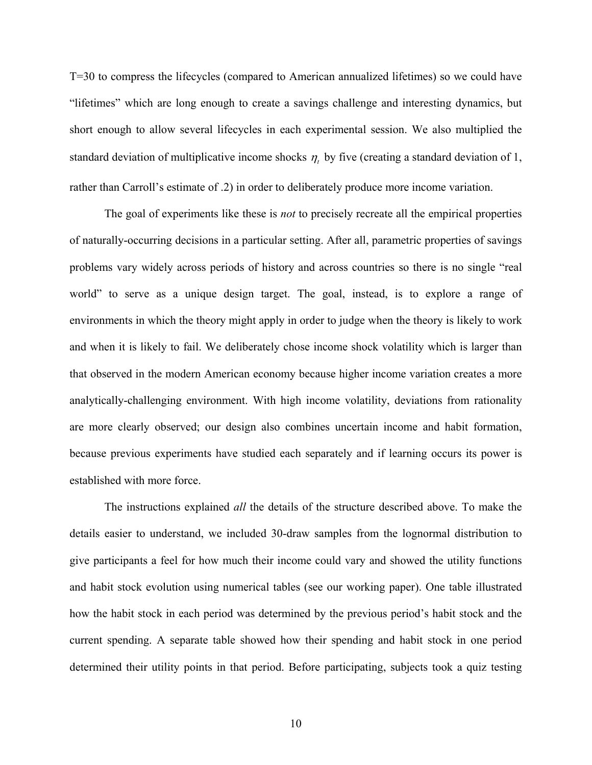T=30 to compress the lifecycles (compared to American annualized lifetimes) so we could have "lifetimes" which are long enough to create a savings challenge and interesting dynamics, but short enough to allow several lifecycles in each experimental session. We also multiplied the standard deviation of multiplicative income shocks  $\eta_t$  by five (creating a standard deviation of 1, rather than Carroll's estimate of .2) in order to deliberately produce more income variation.

 The goal of experiments like these is *not* to precisely recreate all the empirical properties of naturally-occurring decisions in a particular setting. After all, parametric properties of savings problems vary widely across periods of history and across countries so there is no single "real world" to serve as a unique design target. The goal, instead, is to explore a range of environments in which the theory might apply in order to judge when the theory is likely to work and when it is likely to fail. We deliberately chose income shock volatility which is larger than that observed in the modern American economy because higher income variation creates a more analytically-challenging environment. With high income volatility, deviations from rationality are more clearly observed; our design also combines uncertain income and habit formation, because previous experiments have studied each separately and if learning occurs its power is established with more force.

 The instructions explained *all* the details of the structure described above. To make the details easier to understand, we included 30-draw samples from the lognormal distribution to give participants a feel for how much their income could vary and showed the utility functions and habit stock evolution using numerical tables (see our working paper). One table illustrated how the habit stock in each period was determined by the previous period's habit stock and the current spending. A separate table showed how their spending and habit stock in one period determined their utility points in that period. Before participating, subjects took a quiz testing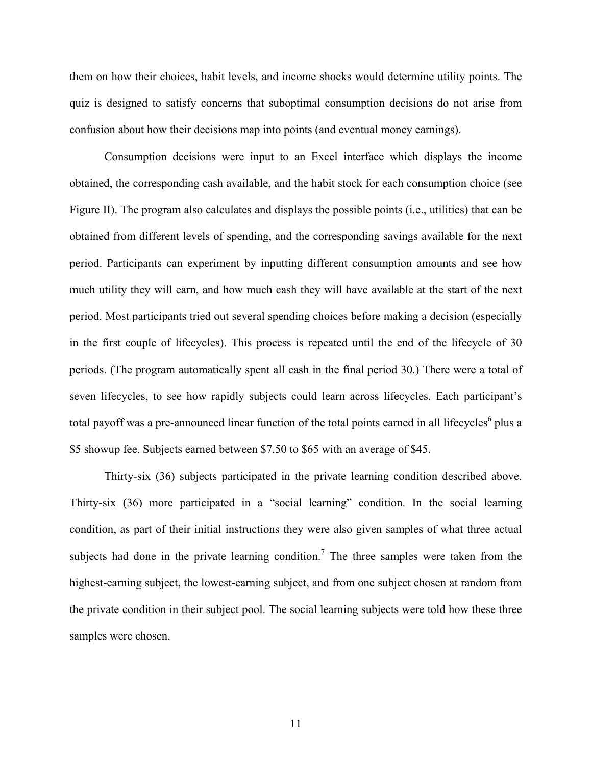them on how their choices, habit levels, and income shocks would determine utility points. The quiz is designed to satisfy concerns that suboptimal consumption decisions do not arise from confusion about how their decisions map into points (and eventual money earnings).

 Consumption decisions were input to an Excel interface which displays the income obtained, the corresponding cash available, and the habit stock for each consumption choice (see Figure II). The program also calculates and displays the possible points (i.e., utilities) that can be obtained from different levels of spending, and the corresponding savings available for the next period. Participants can experiment by inputting different consumption amounts and see how much utility they will earn, and how much cash they will have available at the start of the next period. Most participants tried out several spending choices before making a decision (especially in the first couple of lifecycles). This process is repeated until the end of the lifecycle of 30 periods. (The program automatically spent all cash in the final period 30.) There were a total of seven lifecycles, to see how rapidly subjects could learn across lifecycles. Each participant's total payoff was a pre-announced linear function of the total points earned in all lifecycles<sup>6</sup> plus a \$5 showup fee. Subjects earned between \$7.50 to \$65 with an average of \$45.

 Thirty-six (36) subjects participated in the private learning condition described above. Thirty-six (36) more participated in a "social learning" condition. In the social learning condition, as part of their initial instructions they were also given samples of what three actual subjects had done in the private learning condition.<sup>7</sup> The three samples were taken from the highest-earning subject, the lowest-earning subject, and from one subject chosen at random from the private condition in their subject pool. The social learning subjects were told how these three samples were chosen.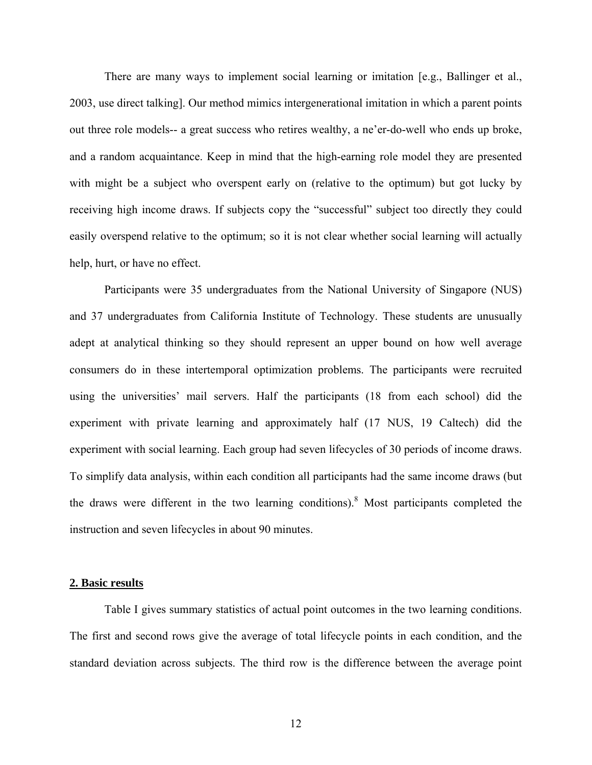There are many ways to implement social learning or imitation [e.g., Ballinger et al., 2003, use direct talking]. Our method mimics intergenerational imitation in which a parent points out three role models-- a great success who retires wealthy, a ne'er-do-well who ends up broke, and a random acquaintance. Keep in mind that the high-earning role model they are presented with might be a subject who overspent early on (relative to the optimum) but got lucky by receiving high income draws. If subjects copy the "successful" subject too directly they could easily overspend relative to the optimum; so it is not clear whether social learning will actually help, hurt, or have no effect.

 Participants were 35 undergraduates from the National University of Singapore (NUS) and 37 undergraduates from California Institute of Technology. These students are unusually adept at analytical thinking so they should represent an upper bound on how well average consumers do in these intertemporal optimization problems. The participants were recruited using the universities' mail servers. Half the participants (18 from each school) did the experiment with private learning and approximately half (17 NUS, 19 Caltech) did the experiment with social learning. Each group had seven lifecycles of 30 periods of income draws. To simplify data analysis, within each condition all participants had the same income draws (but the draws were different in the two learning conditions).<sup>8</sup> Most participants completed the instruction and seven lifecycles in about 90 minutes.

#### **2. Basic results**

 Table I gives summary statistics of actual point outcomes in the two learning conditions. The first and second rows give the average of total lifecycle points in each condition, and the standard deviation across subjects. The third row is the difference between the average point

12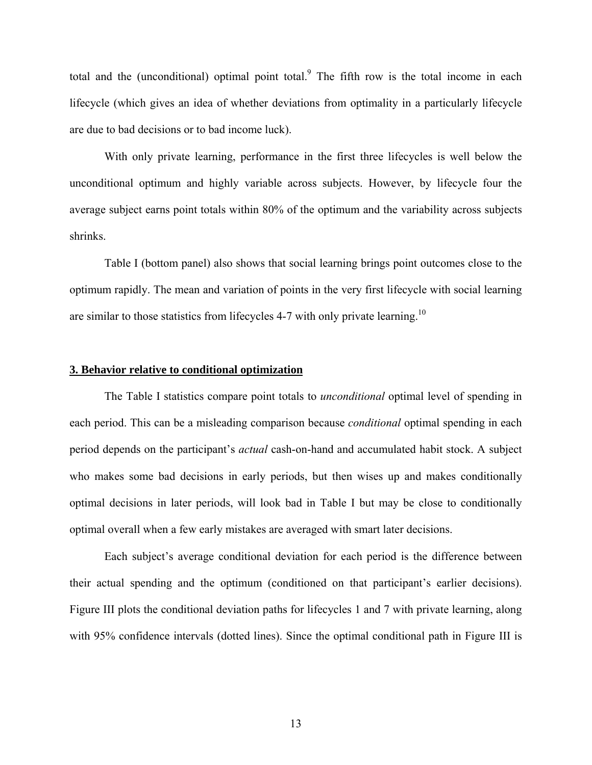total and the (unconditional) optimal point total. $9$  The fifth row is the total income in each lifecycle (which gives an idea of whether deviations from optimality in a particularly lifecycle are due to bad decisions or to bad income luck).

 With only private learning, performance in the first three lifecycles is well below the unconditional optimum and highly variable across subjects. However, by lifecycle four the average subject earns point totals within 80% of the optimum and the variability across subjects shrinks.

 Table I (bottom panel) also shows that social learning brings point outcomes close to the optimum rapidly. The mean and variation of points in the very first lifecycle with social learning are similar to those statistics from lifecycles 4-7 with only private learning.<sup>10</sup>

#### **3. Behavior relative to conditional optimization**

 The Table I statistics compare point totals to *unconditional* optimal level of spending in each period. This can be a misleading comparison because *conditional* optimal spending in each period depends on the participant's *actual* cash-on-hand and accumulated habit stock. A subject who makes some bad decisions in early periods, but then wises up and makes conditionally optimal decisions in later periods, will look bad in Table I but may be close to conditionally optimal overall when a few early mistakes are averaged with smart later decisions.

 Each subject's average conditional deviation for each period is the difference between their actual spending and the optimum (conditioned on that participant's earlier decisions). Figure III plots the conditional deviation paths for lifecycles 1 and 7 with private learning, along with 95% confidence intervals (dotted lines). Since the optimal conditional path in Figure III is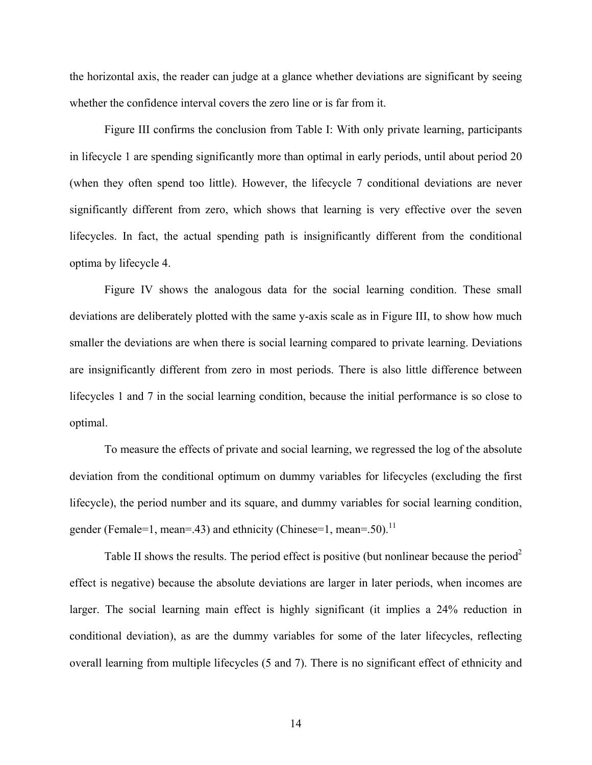the horizontal axis, the reader can judge at a glance whether deviations are significant by seeing whether the confidence interval covers the zero line or is far from it.

 Figure III confirms the conclusion from Table I: With only private learning, participants in lifecycle 1 are spending significantly more than optimal in early periods, until about period 20 (when they often spend too little). However, the lifecycle 7 conditional deviations are never significantly different from zero, which shows that learning is very effective over the seven lifecycles. In fact, the actual spending path is insignificantly different from the conditional optima by lifecycle 4.

 Figure IV shows the analogous data for the social learning condition. These small deviations are deliberately plotted with the same y-axis scale as in Figure III, to show how much smaller the deviations are when there is social learning compared to private learning. Deviations are insignificantly different from zero in most periods. There is also little difference between lifecycles 1 and 7 in the social learning condition, because the initial performance is so close to optimal.

 To measure the effects of private and social learning, we regressed the log of the absolute deviation from the conditional optimum on dummy variables for lifecycles (excluding the first lifecycle), the period number and its square, and dummy variables for social learning condition, gender (Female=1, mean=.43) and ethnicity (Chinese=1, mean=.50).<sup>11</sup>

Table II shows the results. The period effect is positive (but nonlinear because the period<sup>2</sup> effect is negative) because the absolute deviations are larger in later periods, when incomes are larger. The social learning main effect is highly significant (it implies a 24% reduction in conditional deviation), as are the dummy variables for some of the later lifecycles, reflecting overall learning from multiple lifecycles (5 and 7). There is no significant effect of ethnicity and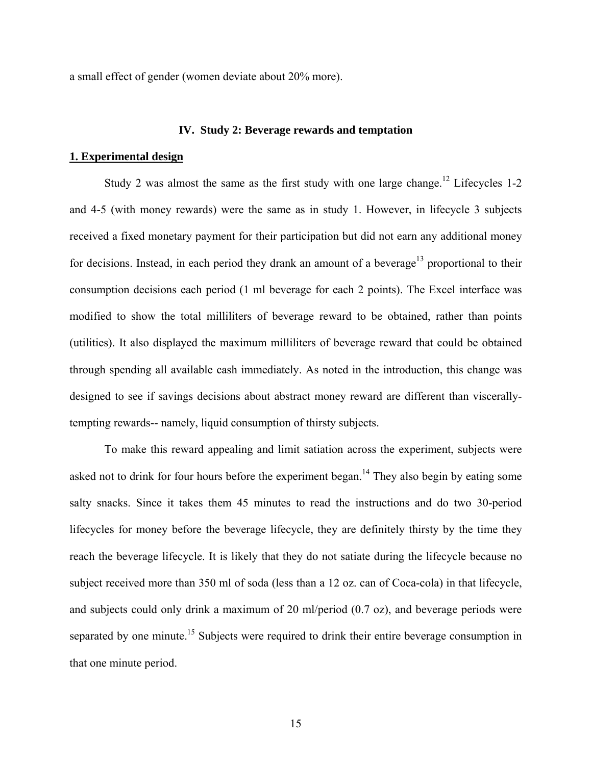a small effect of gender (women deviate about 20% more).

#### **IV. Study 2: Beverage rewards and temptation**

#### **1. Experimental design**

Study 2 was almost the same as the first study with one large change.<sup>12</sup> Lifecycles 1-2 and 4-5 (with money rewards) were the same as in study 1. However, in lifecycle 3 subjects received a fixed monetary payment for their participation but did not earn any additional money for decisions. Instead, in each period they drank an amount of a beverage<sup>13</sup> proportional to their consumption decisions each period (1 ml beverage for each 2 points). The Excel interface was modified to show the total milliliters of beverage reward to be obtained, rather than points (utilities). It also displayed the maximum milliliters of beverage reward that could be obtained through spending all available cash immediately. As noted in the introduction, this change was designed to see if savings decisions about abstract money reward are different than viscerallytempting rewards-- namely, liquid consumption of thirsty subjects.

 To make this reward appealing and limit satiation across the experiment, subjects were asked not to drink for four hours before the experiment began.<sup>14</sup> They also begin by eating some salty snacks. Since it takes them 45 minutes to read the instructions and do two 30-period lifecycles for money before the beverage lifecycle, they are definitely thirsty by the time they reach the beverage lifecycle. It is likely that they do not satiate during the lifecycle because no subject received more than 350 ml of soda (less than a 12 oz. can of Coca-cola) in that lifecycle, and subjects could only drink a maximum of 20 ml/period (0.7 oz), and beverage periods were separated by one minute.<sup>15</sup> Subjects were required to drink their entire beverage consumption in that one minute period.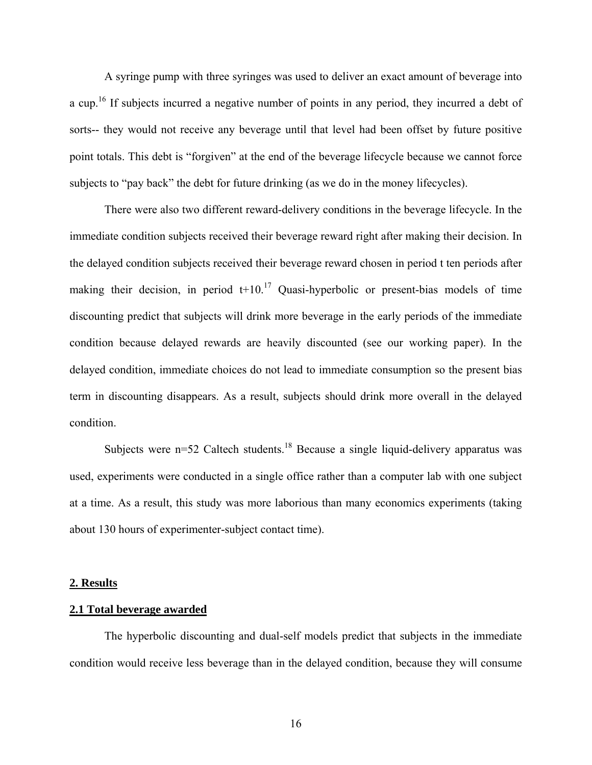A syringe pump with three syringes was used to deliver an exact amount of beverage into a cup.<sup>16</sup> If subjects incurred a negative number of points in any period, they incurred a debt of sorts-- they would not receive any beverage until that level had been offset by future positive point totals. This debt is "forgiven" at the end of the beverage lifecycle because we cannot force subjects to "pay back" the debt for future drinking (as we do in the money lifecycles).

 There were also two different reward-delivery conditions in the beverage lifecycle. In the immediate condition subjects received their beverage reward right after making their decision. In the delayed condition subjects received their beverage reward chosen in period t ten periods after making their decision, in period  $t+10$ .<sup>17</sup> Quasi-hyperbolic or present-bias models of time discounting predict that subjects will drink more beverage in the early periods of the immediate condition because delayed rewards are heavily discounted (see our working paper). In the delayed condition, immediate choices do not lead to immediate consumption so the present bias term in discounting disappears. As a result, subjects should drink more overall in the delayed condition.

Subjects were  $n=52$  Caltech students.<sup>18</sup> Because a single liquid-delivery apparatus was used, experiments were conducted in a single office rather than a computer lab with one subject at a time. As a result, this study was more laborious than many economics experiments (taking about 130 hours of experimenter-subject contact time).

#### **2. Results**

#### **2.1 Total beverage awarded**

 The hyperbolic discounting and dual-self models predict that subjects in the immediate condition would receive less beverage than in the delayed condition, because they will consume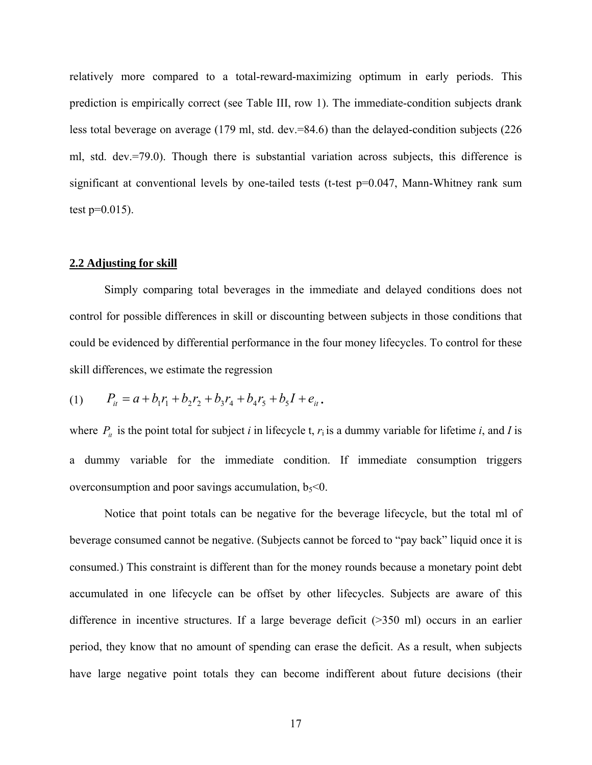relatively more compared to a total-reward-maximizing optimum in early periods. This prediction is empirically correct (see Table III, row 1). The immediate-condition subjects drank less total beverage on average (179 ml, std. dev.=84.6) than the delayed-condition subjects (226 ml, std. dev.=79.0). Though there is substantial variation across subjects, this difference is significant at conventional levels by one-tailed tests (t-test p=0.047, Mann-Whitney rank sum test  $p=0.015$ ).

#### **2.2 Adjusting for skill**

 Simply comparing total beverages in the immediate and delayed conditions does not control for possible differences in skill or discounting between subjects in those conditions that could be evidenced by differential performance in the four money lifecycles. To control for these skill differences, we estimate the regression

$$
(1) \qquad P_{it} = a + b_1 r_1 + b_2 r_2 + b_3 r_4 + b_4 r_5 + b_5 I + e_{it}.
$$

where  $P_i$  is the point total for subject *i* in lifecycle t,  $r_i$  is a dummy variable for lifetime *i*, and *I* is a dummy variable for the immediate condition. If immediate consumption triggers overconsumption and poor savings accumulation,  $b_5<0$ .

 Notice that point totals can be negative for the beverage lifecycle, but the total ml of beverage consumed cannot be negative. (Subjects cannot be forced to "pay back" liquid once it is consumed.) This constraint is different than for the money rounds because a monetary point debt accumulated in one lifecycle can be offset by other lifecycles. Subjects are aware of this difference in incentive structures. If a large beverage deficit (>350 ml) occurs in an earlier period, they know that no amount of spending can erase the deficit. As a result, when subjects have large negative point totals they can become indifferent about future decisions (their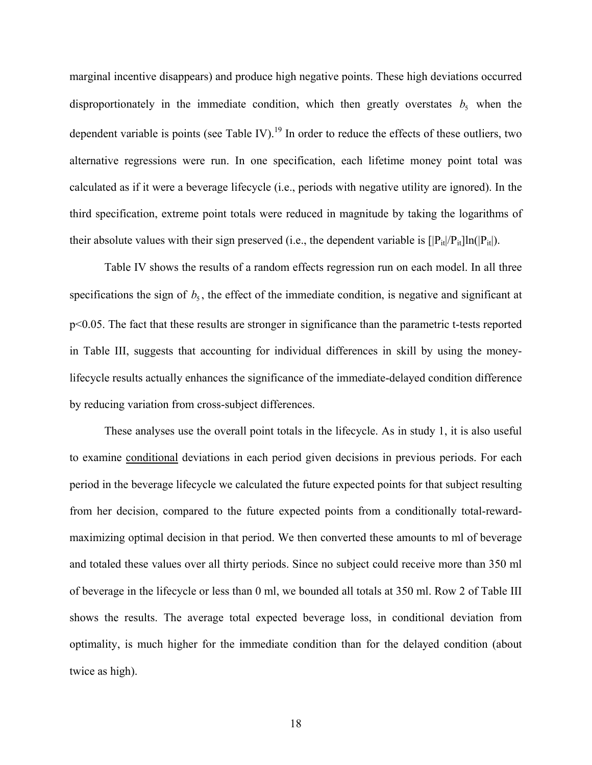marginal incentive disappears) and produce high negative points. These high deviations occurred disproportionately in the immediate condition, which then greatly overstates  $b_5$  when the dependent variable is points (see Table IV).<sup>19</sup> In order to reduce the effects of these outliers, two alternative regressions were run. In one specification, each lifetime money point total was calculated as if it were a beverage lifecycle (i.e., periods with negative utility are ignored). In the third specification, extreme point totals were reduced in magnitude by taking the logarithms of their absolute values with their sign preserved (i.e., the dependent variable is  $[|P_{it}|/P_{it}]ln(|P_{it}|)$ .

 Table IV shows the results of a random effects regression run on each model. In all three specifications the sign of  $b_5$ , the effect of the immediate condition, is negative and significant at p<0.05. The fact that these results are stronger in significance than the parametric t-tests reported in Table III, suggests that accounting for individual differences in skill by using the moneylifecycle results actually enhances the significance of the immediate-delayed condition difference by reducing variation from cross-subject differences.

 These analyses use the overall point totals in the lifecycle. As in study 1, it is also useful to examine conditional deviations in each period given decisions in previous periods. For each period in the beverage lifecycle we calculated the future expected points for that subject resulting from her decision, compared to the future expected points from a conditionally total-rewardmaximizing optimal decision in that period. We then converted these amounts to ml of beverage and totaled these values over all thirty periods. Since no subject could receive more than 350 ml of beverage in the lifecycle or less than 0 ml, we bounded all totals at 350 ml. Row 2 of Table III shows the results. The average total expected beverage loss, in conditional deviation from optimality, is much higher for the immediate condition than for the delayed condition (about twice as high).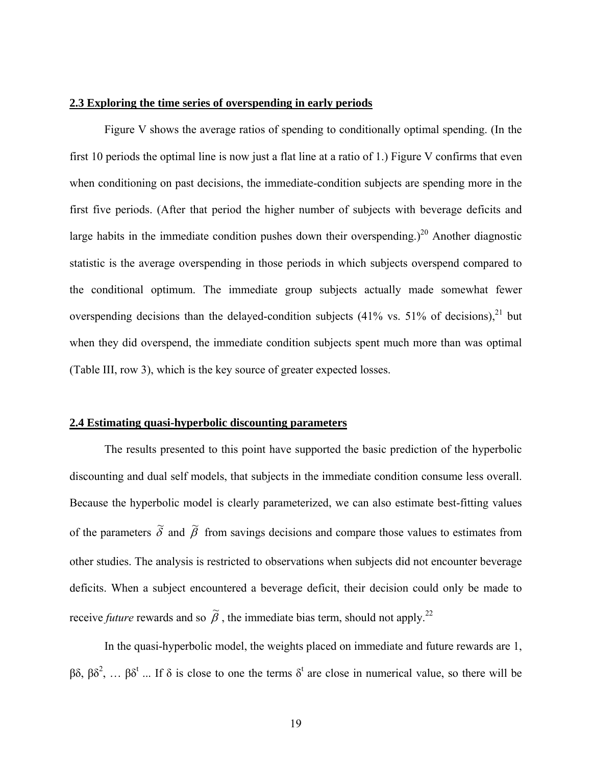#### **2.3 Exploring the time series of overspending in early periods**

 Figure V shows the average ratios of spending to conditionally optimal spending. (In the first 10 periods the optimal line is now just a flat line at a ratio of 1.) Figure V confirms that even when conditioning on past decisions, the immediate-condition subjects are spending more in the first five periods. (After that period the higher number of subjects with beverage deficits and large habits in the immediate condition pushes down their overspending.)<sup>20</sup> Another diagnostic statistic is the average overspending in those periods in which subjects overspend compared to the conditional optimum. The immediate group subjects actually made somewhat fewer overspending decisions than the delayed-condition subjects  $(41\% \text{ vs. } 51\% \text{ of decisions})$ <sup>21</sup> but when they did overspend, the immediate condition subjects spent much more than was optimal (Table III, row 3), which is the key source of greater expected losses.

#### **2.4 Estimating quasi-hyperbolic discounting parameters**

The results presented to this point have supported the basic prediction of the hyperbolic discounting and dual self models, that subjects in the immediate condition consume less overall. Because the hyperbolic model is clearly parameterized, we can also estimate best-fitting values of the parameters  $\tilde{\delta}$  and  $\tilde{\beta}$  from savings decisions and compare those values to estimates from other studies. The analysis is restricted to observations when subjects did not encounter beverage deficits. When a subject encountered a beverage deficit, their decision could only be made to receive *future* rewards and so  $\tilde{\beta}$ , the immediate bias term, should not apply.<sup>22</sup>

 In the quasi-hyperbolic model, the weights placed on immediate and future rewards are 1,  $\beta\delta$ ,  $\beta\delta^2$ , ...  $\beta\delta^t$  ... If  $\delta$  is close to one the terms  $\delta^t$  are close in numerical value, so there will be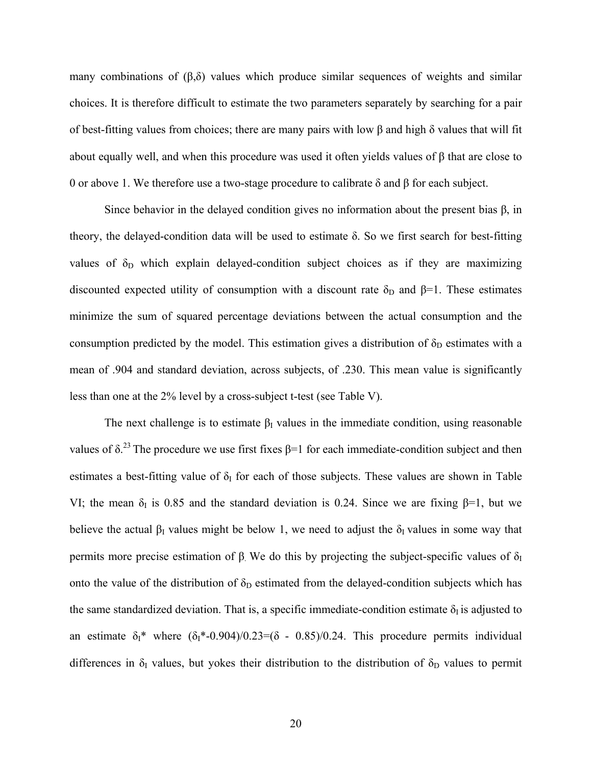many combinations of  $(\beta, \delta)$  values which produce similar sequences of weights and similar choices. It is therefore difficult to estimate the two parameters separately by searching for a pair of best-fitting values from choices; there are many pairs with low  $\beta$  and high  $\delta$  values that will fit about equally well, and when this procedure was used it often yields values of β that are close to 0 or above 1. We therefore use a two-stage procedure to calibrate δ and β for each subject.

Since behavior in the delayed condition gives no information about the present bias  $\beta$ , in theory, the delayed-condition data will be used to estimate δ. So we first search for best-fitting values of  $\delta_D$  which explain delayed-condition subject choices as if they are maximizing discounted expected utility of consumption with a discount rate  $\delta_D$  and  $\beta=1$ . These estimates minimize the sum of squared percentage deviations between the actual consumption and the consumption predicted by the model. This estimation gives a distribution of  $\delta_D$  estimates with a mean of .904 and standard deviation, across subjects, of .230. This mean value is significantly less than one at the 2% level by a cross-subject t-test (see Table V).

The next challenge is to estimate  $\beta_I$  values in the immediate condition, using reasonable values of  $\delta$ <sup>23</sup>. The procedure we use first fixes  $\beta$ =1 for each immediate-condition subject and then estimates a best-fitting value of  $\delta_1$  for each of those subjects. These values are shown in Table VI; the mean  $\delta_I$  is 0.85 and the standard deviation is 0.24. Since we are fixing  $\beta=1$ , but we believe the actual  $\beta_I$  values might be below 1, we need to adjust the  $\delta_I$  values in some way that permits more precise estimation of β. We do this by projecting the subject-specific values of  $δ₁$ onto the value of the distribution of  $\delta_D$  estimated from the delayed-condition subjects which has the same standardized deviation. That is, a specific immediate-condition estimate  $\delta_I$  is adjusted to an estimate  $\delta_1^*$  where  $(\delta_1^*$ -0.904)/0.23=( $\delta$  - 0.85)/0.24. This procedure permits individual differences in  $\delta_I$  values, but yokes their distribution to the distribution of  $\delta_D$  values to permit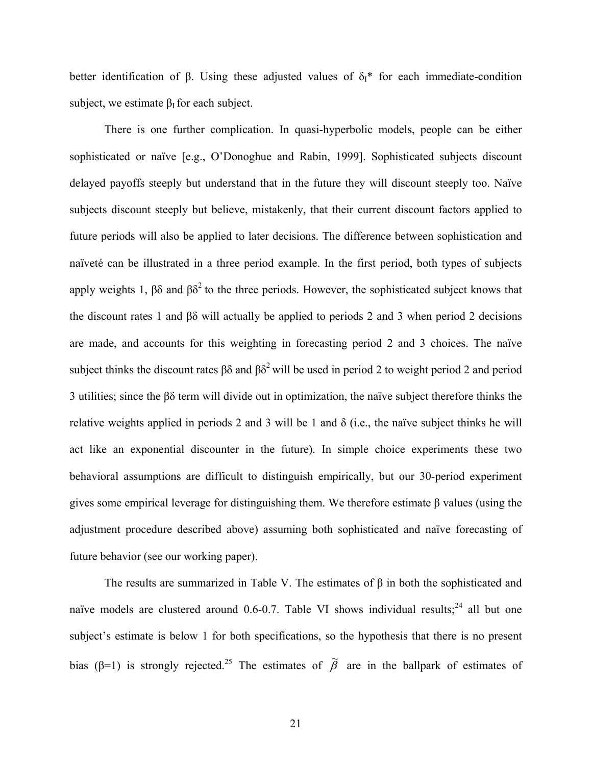better identification of β. Using these adjusted values of  $\delta_1^*$  for each immediate-condition subject, we estimate  $\beta$ <sup>I</sup> for each subject.

 There is one further complication. In quasi-hyperbolic models, people can be either sophisticated or naïve [e.g., O'Donoghue and Rabin, 1999]. Sophisticated subjects discount delayed payoffs steeply but understand that in the future they will discount steeply too. Naïve subjects discount steeply but believe, mistakenly, that their current discount factors applied to future periods will also be applied to later decisions. The difference between sophistication and naïveté can be illustrated in a three period example. In the first period, both types of subjects apply weights 1,  $\beta\delta$  and  $\beta\delta^2$  to the three periods. However, the sophisticated subject knows that the discount rates 1 and βδ will actually be applied to periods 2 and 3 when period 2 decisions are made, and accounts for this weighting in forecasting period 2 and 3 choices. The naïve subject thinks the discount rates  $\beta\delta$  and  $\beta\delta^2$  will be used in period 2 to weight period 2 and period 3 utilities; since the βδ term will divide out in optimization, the naïve subject therefore thinks the relative weights applied in periods 2 and 3 will be 1 and  $\delta$  (i.e., the naïve subject thinks he will act like an exponential discounter in the future). In simple choice experiments these two behavioral assumptions are difficult to distinguish empirically, but our 30-period experiment gives some empirical leverage for distinguishing them. We therefore estimate β values (using the adjustment procedure described above) assuming both sophisticated and naïve forecasting of future behavior (see our working paper).

The results are summarized in Table V. The estimates of  $\beta$  in both the sophisticated and naïve models are clustered around  $0.6$ -0.7. Table VI shows individual results;<sup>24</sup> all but one subject's estimate is below 1 for both specifications, so the hypothesis that there is no present bias (β=1) is strongly rejected.<sup>25</sup> The estimates of  $\tilde{\beta}$  are in the ballpark of estimates of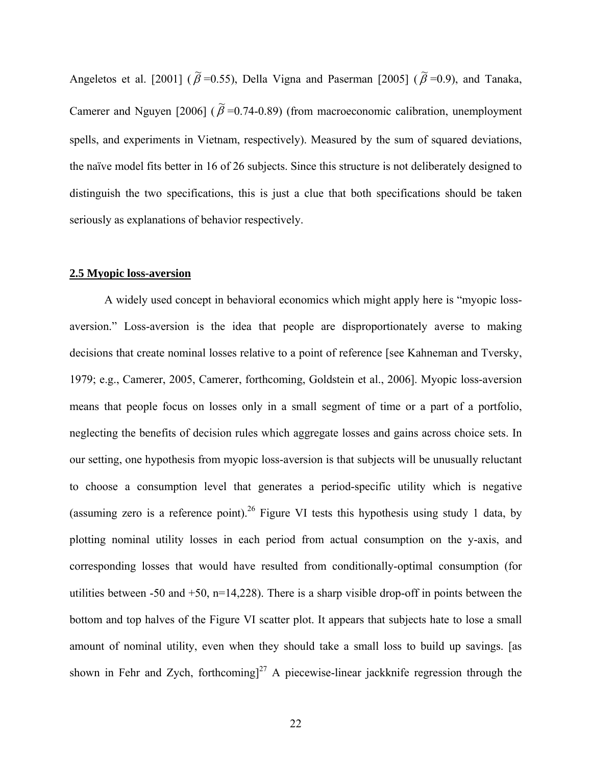Angeletos et al. [2001] ( $\tilde{\beta}$  =0.55), Della Vigna and Paserman [2005] ( $\tilde{\beta}$  =0.9), and Tanaka, Camerer and Nguyen [2006] ( $\tilde{\beta}$  =0.74-0.89) (from macroeconomic calibration, unemployment spells, and experiments in Vietnam, respectively). Measured by the sum of squared deviations, the naïve model fits better in 16 of 26 subjects. Since this structure is not deliberately designed to distinguish the two specifications, this is just a clue that both specifications should be taken seriously as explanations of behavior respectively.

#### **2.5 Myopic loss-aversion**

A widely used concept in behavioral economics which might apply here is "myopic lossaversion." Loss-aversion is the idea that people are disproportionately averse to making decisions that create nominal losses relative to a point of reference [see Kahneman and Tversky, 1979; e.g., Camerer, 2005, Camerer, forthcoming, Goldstein et al., 2006]. Myopic loss-aversion means that people focus on losses only in a small segment of time or a part of a portfolio, neglecting the benefits of decision rules which aggregate losses and gains across choice sets. In our setting, one hypothesis from myopic loss-aversion is that subjects will be unusually reluctant to choose a consumption level that generates a period-specific utility which is negative (assuming zero is a reference point).<sup>26</sup> Figure VI tests this hypothesis using study 1 data, by plotting nominal utility losses in each period from actual consumption on the y-axis, and corresponding losses that would have resulted from conditionally-optimal consumption (for utilities between -50 and  $+50$ , n=14,228). There is a sharp visible drop-off in points between the bottom and top halves of the Figure VI scatter plot. It appears that subjects hate to lose a small amount of nominal utility, even when they should take a small loss to build up savings. [as shown in Fehr and Zych, forthcoming]<sup>27</sup> A piecewise-linear jackknife regression through the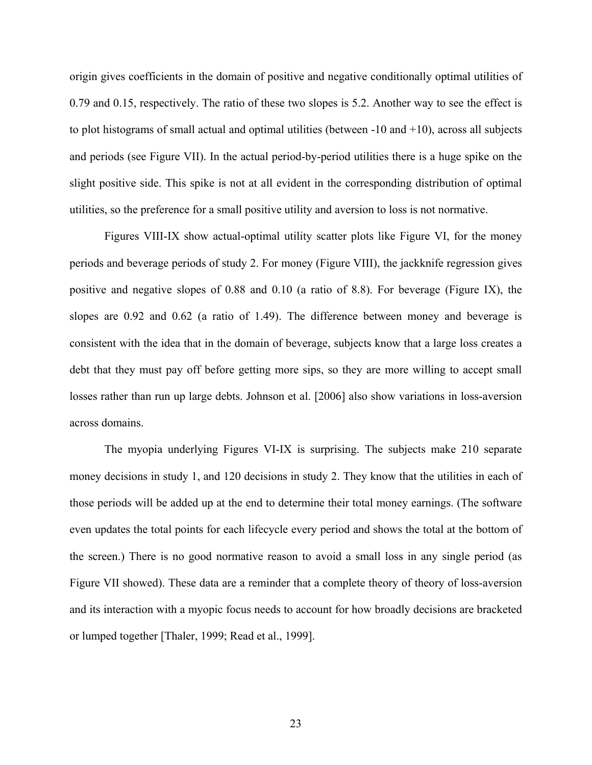origin gives coefficients in the domain of positive and negative conditionally optimal utilities of 0.79 and 0.15, respectively. The ratio of these two slopes is 5.2. Another way to see the effect is to plot histograms of small actual and optimal utilities (between  $-10$  and  $+10$ ), across all subjects and periods (see Figure VII). In the actual period-by-period utilities there is a huge spike on the slight positive side. This spike is not at all evident in the corresponding distribution of optimal utilities, so the preference for a small positive utility and aversion to loss is not normative.

Figures VIII-IX show actual-optimal utility scatter plots like Figure VI, for the money periods and beverage periods of study 2. For money (Figure VIII), the jackknife regression gives positive and negative slopes of 0.88 and 0.10 (a ratio of 8.8). For beverage (Figure IX), the slopes are 0.92 and 0.62 (a ratio of 1.49). The difference between money and beverage is consistent with the idea that in the domain of beverage, subjects know that a large loss creates a debt that they must pay off before getting more sips, so they are more willing to accept small losses rather than run up large debts. Johnson et al. [2006] also show variations in loss-aversion across domains.

The myopia underlying Figures VI-IX is surprising. The subjects make 210 separate money decisions in study 1, and 120 decisions in study 2. They know that the utilities in each of those periods will be added up at the end to determine their total money earnings. (The software even updates the total points for each lifecycle every period and shows the total at the bottom of the screen.) There is no good normative reason to avoid a small loss in any single period (as Figure VII showed). These data are a reminder that a complete theory of theory of loss-aversion and its interaction with a myopic focus needs to account for how broadly decisions are bracketed or lumped together [Thaler, 1999; Read et al., 1999].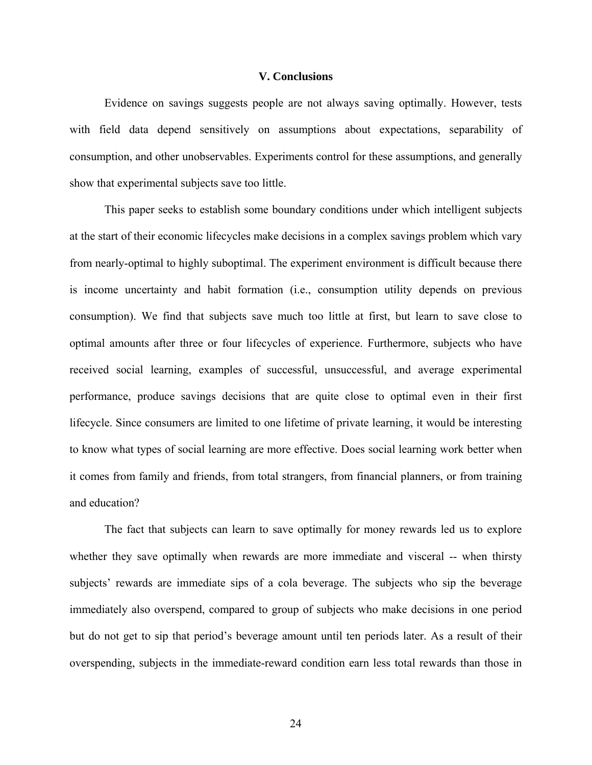#### **V. Conclusions**

 Evidence on savings suggests people are not always saving optimally. However, tests with field data depend sensitively on assumptions about expectations, separability of consumption, and other unobservables. Experiments control for these assumptions, and generally show that experimental subjects save too little.

 This paper seeks to establish some boundary conditions under which intelligent subjects at the start of their economic lifecycles make decisions in a complex savings problem which vary from nearly-optimal to highly suboptimal. The experiment environment is difficult because there is income uncertainty and habit formation (i.e., consumption utility depends on previous consumption). We find that subjects save much too little at first, but learn to save close to optimal amounts after three or four lifecycles of experience. Furthermore, subjects who have received social learning, examples of successful, unsuccessful, and average experimental performance, produce savings decisions that are quite close to optimal even in their first lifecycle. Since consumers are limited to one lifetime of private learning, it would be interesting to know what types of social learning are more effective. Does social learning work better when it comes from family and friends, from total strangers, from financial planners, or from training and education?

 The fact that subjects can learn to save optimally for money rewards led us to explore whether they save optimally when rewards are more immediate and visceral -- when thirsty subjects' rewards are immediate sips of a cola beverage. The subjects who sip the beverage immediately also overspend, compared to group of subjects who make decisions in one period but do not get to sip that period's beverage amount until ten periods later. As a result of their overspending, subjects in the immediate-reward condition earn less total rewards than those in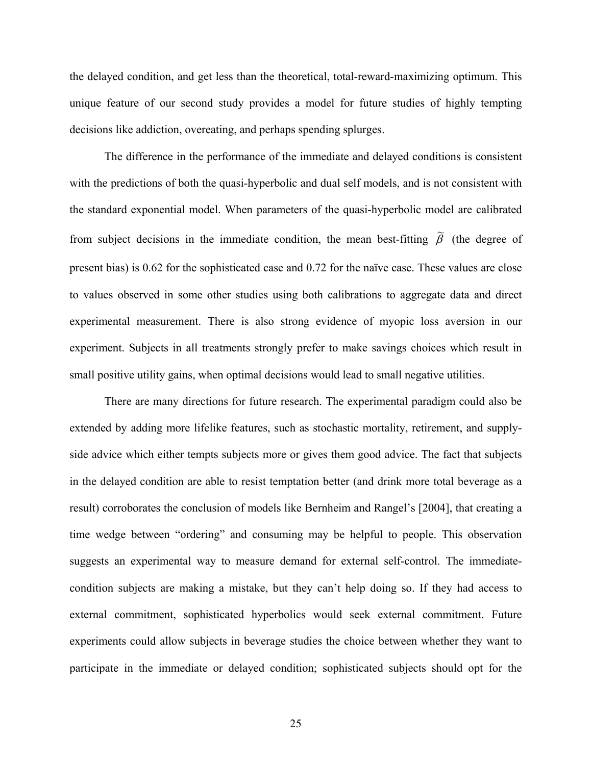the delayed condition, and get less than the theoretical, total-reward-maximizing optimum. This unique feature of our second study provides a model for future studies of highly tempting decisions like addiction, overeating, and perhaps spending splurges.

 The difference in the performance of the immediate and delayed conditions is consistent with the predictions of both the quasi-hyperbolic and dual self models, and is not consistent with the standard exponential model. When parameters of the quasi-hyperbolic model are calibrated from subject decisions in the immediate condition, the mean best-fitting  $\tilde{\beta}$  (the degree of present bias) is 0.62 for the sophisticated case and 0.72 for the naïve case. These values are close to values observed in some other studies using both calibrations to aggregate data and direct experimental measurement. There is also strong evidence of myopic loss aversion in our experiment. Subjects in all treatments strongly prefer to make savings choices which result in small positive utility gains, when optimal decisions would lead to small negative utilities.

 There are many directions for future research. The experimental paradigm could also be extended by adding more lifelike features, such as stochastic mortality, retirement, and supplyside advice which either tempts subjects more or gives them good advice. The fact that subjects in the delayed condition are able to resist temptation better (and drink more total beverage as a result) corroborates the conclusion of models like Bernheim and Rangel's [2004], that creating a time wedge between "ordering" and consuming may be helpful to people. This observation suggests an experimental way to measure demand for external self-control. The immediatecondition subjects are making a mistake, but they can't help doing so. If they had access to external commitment, sophisticated hyperbolics would seek external commitment. Future experiments could allow subjects in beverage studies the choice between whether they want to participate in the immediate or delayed condition; sophisticated subjects should opt for the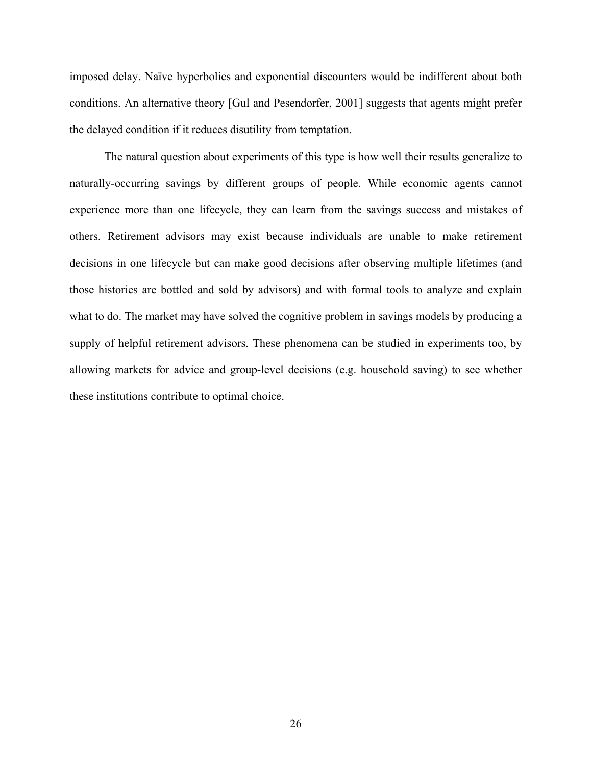imposed delay. Naïve hyperbolics and exponential discounters would be indifferent about both conditions. An alternative theory [Gul and Pesendorfer, 2001] suggests that agents might prefer the delayed condition if it reduces disutility from temptation.

 The natural question about experiments of this type is how well their results generalize to naturally-occurring savings by different groups of people. While economic agents cannot experience more than one lifecycle, they can learn from the savings success and mistakes of others. Retirement advisors may exist because individuals are unable to make retirement decisions in one lifecycle but can make good decisions after observing multiple lifetimes (and those histories are bottled and sold by advisors) and with formal tools to analyze and explain what to do. The market may have solved the cognitive problem in savings models by producing a supply of helpful retirement advisors. These phenomena can be studied in experiments too, by allowing markets for advice and group-level decisions (e.g. household saving) to see whether these institutions contribute to optimal choice.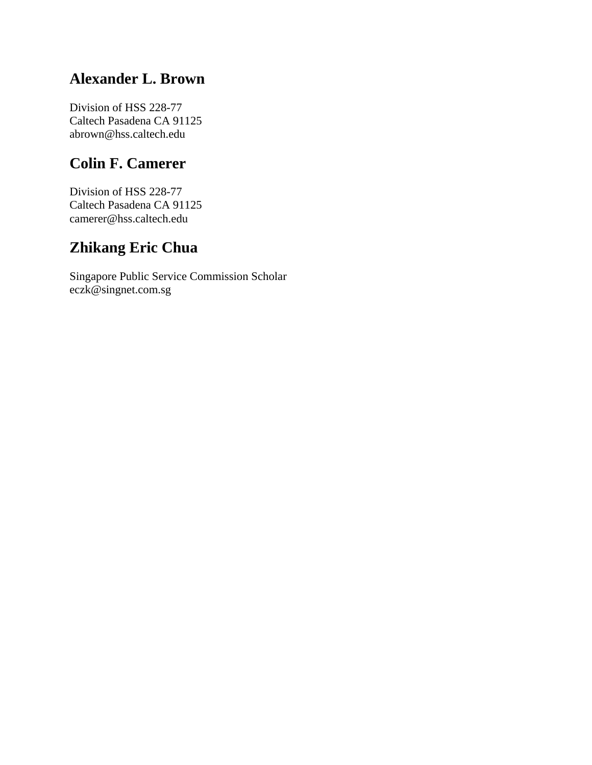## **Alexander L. Brown**

Division of HSS 228-77 Caltech Pasadena CA 91125 abrown@hss.caltech.edu

# **Colin F. Camerer**

Division of HSS 228-77 Caltech Pasadena CA 91125 camerer@hss.caltech.edu

# **Zhikang Eric Chua**

Singapore Public Service Commission Scholar eczk@singnet.com.sg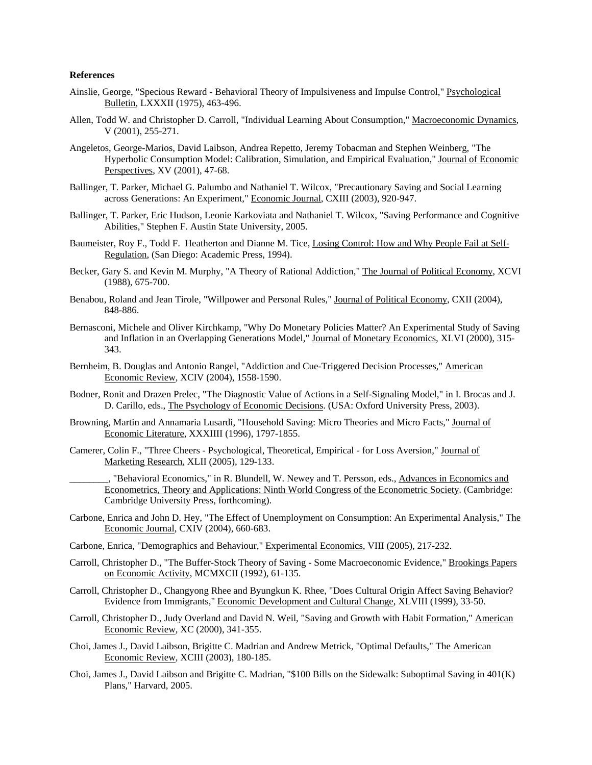#### **References**

- Ainslie, George, "Specious Reward Behavioral Theory of Impulsiveness and Impulse Control," Psychological Bulletin, LXXXII (1975), 463-496.
- Allen, Todd W. and Christopher D. Carroll, "Individual Learning About Consumption," Macroeconomic Dynamics, V (2001), 255-271.
- Angeletos, George-Marios, David Laibson, Andrea Repetto, Jeremy Tobacman and Stephen Weinberg, "The Hyperbolic Consumption Model: Calibration, Simulation, and Empirical Evaluation," Journal of Economic Perspectives, XV (2001), 47-68.
- Ballinger, T. Parker, Michael G. Palumbo and Nathaniel T. Wilcox, "Precautionary Saving and Social Learning across Generations: An Experiment," Economic Journal, CXIII (2003), 920-947.
- Ballinger, T. Parker, Eric Hudson, Leonie Karkoviata and Nathaniel T. Wilcox, "Saving Performance and Cognitive Abilities," Stephen F. Austin State University, 2005.
- Baumeister, Roy F., Todd F. Heatherton and Dianne M. Tice, Losing Control: How and Why People Fail at Self-Regulation, (San Diego: Academic Press, 1994).
- Becker, Gary S. and Kevin M. Murphy, "A Theory of Rational Addiction," The Journal of Political Economy, XCVI (1988), 675-700.
- Benabou, Roland and Jean Tirole, "Willpower and Personal Rules," Journal of Political Economy, CXII (2004), 848-886.
- Bernasconi, Michele and Oliver Kirchkamp, "Why Do Monetary Policies Matter? An Experimental Study of Saving and Inflation in an Overlapping Generations Model," Journal of Monetary Economics, XLVI (2000), 315- 343.
- Bernheim, B. Douglas and Antonio Rangel, "Addiction and Cue-Triggered Decision Processes," American Economic Review, XCIV (2004), 1558-1590.
- Bodner, Ronit and Drazen Prelec, "The Diagnostic Value of Actions in a Self-Signaling Model," in I. Brocas and J. D. Carillo, eds., The Psychology of Economic Decisions. (USA: Oxford University Press, 2003).
- Browning, Martin and Annamaria Lusardi, "Household Saving: Micro Theories and Micro Facts," Journal of Economic Literature, XXXIIII (1996), 1797-1855.
- Camerer, Colin F., "Three Cheers Psychological, Theoretical, Empirical for Loss Aversion," Journal of Marketing Research, XLII (2005), 129-133.
	- , "Behavioral Economics," in R. Blundell, W. Newey and T. Persson, eds., Advances in Economics and Econometrics, Theory and Applications: Ninth World Congress of the Econometric Society. (Cambridge: Cambridge University Press, forthcoming).
- Carbone, Enrica and John D. Hey, "The Effect of Unemployment on Consumption: An Experimental Analysis," The Economic Journal, CXIV (2004), 660-683.
- Carbone, Enrica, "Demographics and Behaviour," Experimental Economics, VIII (2005), 217-232.
- Carroll, Christopher D., "The Buffer-Stock Theory of Saving Some Macroeconomic Evidence," Brookings Papers on Economic Activity, MCMXCII (1992), 61-135.
- Carroll, Christopher D., Changyong Rhee and Byungkun K. Rhee, "Does Cultural Origin Affect Saving Behavior? Evidence from Immigrants," Economic Development and Cultural Change, XLVIII (1999), 33-50.
- Carroll, Christopher D., Judy Overland and David N. Weil, "Saving and Growth with Habit Formation," American Economic Review, XC (2000), 341-355.
- Choi, James J., David Laibson, Brigitte C. Madrian and Andrew Metrick, "Optimal Defaults," The American Economic Review, XCIII (2003), 180-185.
- Choi, James J., David Laibson and Brigitte C. Madrian, "\$100 Bills on the Sidewalk: Suboptimal Saving in 401(K) Plans," Harvard, 2005.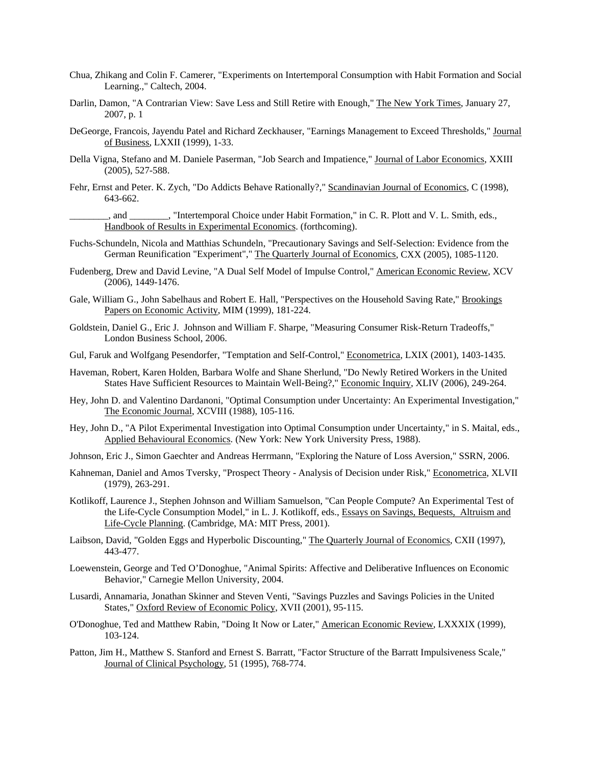- Chua, Zhikang and Colin F. Camerer, "Experiments on Intertemporal Consumption with Habit Formation and Social Learning.," Caltech, 2004.
- Darlin, Damon, "A Contrarian View: Save Less and Still Retire with Enough," The New York Times, January 27, 2007, p. 1
- DeGeorge, Francois, Jayendu Patel and Richard Zeckhauser, "Earnings Management to Exceed Thresholds," Journal of Business, LXXII (1999), 1-33.
- Della Vigna, Stefano and M. Daniele Paserman, "Job Search and Impatience," Journal of Labor Economics, XXIII (2005), 527-588.
- Fehr, Ernst and Peter. K. Zych, "Do Addicts Behave Rationally?," Scandinavian Journal of Economics, C (1998), 643-662.
- \_\_\_\_\_\_\_\_, and \_\_\_\_\_\_\_\_, "Intertemporal Choice under Habit Formation," in C. R. Plott and V. L. Smith, eds., Handbook of Results in Experimental Economics. (forthcoming).
- Fuchs-Schundeln, Nicola and Matthias Schundeln, "Precautionary Savings and Self-Selection: Evidence from the German Reunification "Experiment"," The Quarterly Journal of Economics, CXX (2005), 1085-1120.
- Fudenberg, Drew and David Levine, "A Dual Self Model of Impulse Control," American Economic Review, XCV (2006), 1449-1476.
- Gale, William G., John Sabelhaus and Robert E. Hall, "Perspectives on the Household Saving Rate," Brookings Papers on Economic Activity, MIM (1999), 181-224.
- Goldstein, Daniel G., Eric J. Johnson and William F. Sharpe, "Measuring Consumer Risk-Return Tradeoffs," London Business School, 2006.
- Gul, Faruk and Wolfgang Pesendorfer, "Temptation and Self-Control," Econometrica, LXIX (2001), 1403-1435.
- Haveman, Robert, Karen Holden, Barbara Wolfe and Shane Sherlund, "Do Newly Retired Workers in the United States Have Sufficient Resources to Maintain Well-Being?," Economic Inquiry, XLIV (2006), 249-264.
- Hey, John D. and Valentino Dardanoni, "Optimal Consumption under Uncertainty: An Experimental Investigation," The Economic Journal, XCVIII (1988), 105-116.
- Hey, John D., "A Pilot Experimental Investigation into Optimal Consumption under Uncertainty," in S. Maital, eds., Applied Behavioural Economics. (New York: New York University Press, 1988).
- Johnson, Eric J., Simon Gaechter and Andreas Herrmann, "Exploring the Nature of Loss Aversion," SSRN, 2006.
- Kahneman, Daniel and Amos Tversky, "Prospect Theory Analysis of Decision under Risk," Econometrica, XLVII (1979), 263-291.
- Kotlikoff, Laurence J., Stephen Johnson and William Samuelson, "Can People Compute? An Experimental Test of the Life-Cycle Consumption Model," in L. J. Kotlikoff, eds., Essays on Savings, Bequests, Altruism and Life-Cycle Planning. (Cambridge, MA: MIT Press, 2001).
- Laibson, David, "Golden Eggs and Hyperbolic Discounting," The Quarterly Journal of Economics, CXII (1997), 443-477.
- Loewenstein, George and Ted O'Donoghue, "Animal Spirits: Affective and Deliberative Influences on Economic Behavior," Carnegie Mellon University, 2004.
- Lusardi, Annamaria, Jonathan Skinner and Steven Venti, "Savings Puzzles and Savings Policies in the United States," Oxford Review of Economic Policy, XVII (2001), 95-115.
- O'Donoghue, Ted and Matthew Rabin, "Doing It Now or Later," American Economic Review, LXXXIX (1999), 103-124.
- Patton, Jim H., Matthew S. Stanford and Ernest S. Barratt, "Factor Structure of the Barratt Impulsiveness Scale," Journal of Clinical Psychology, 51 (1995), 768-774.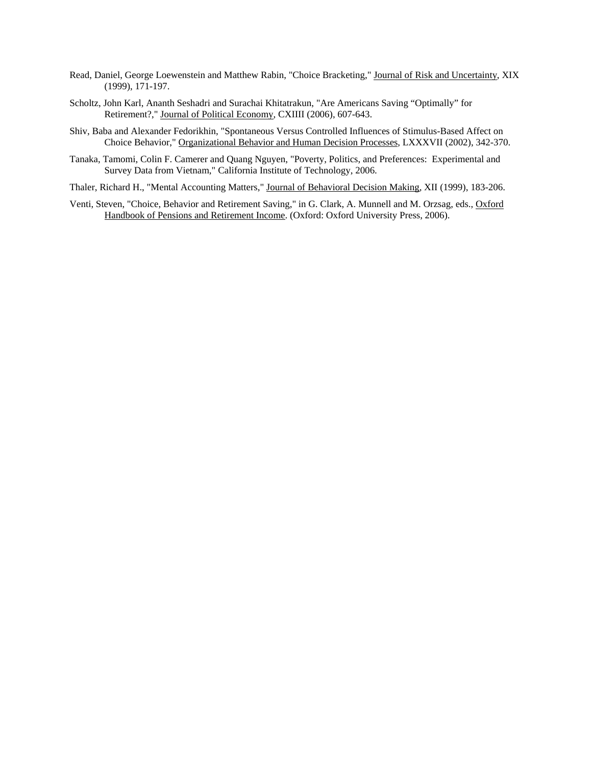- Read, Daniel, George Loewenstein and Matthew Rabin, "Choice Bracketing," Journal of Risk and Uncertainty, XIX (1999), 171-197.
- Scholtz, John Karl, Ananth Seshadri and Surachai Khitatrakun, "Are Americans Saving "Optimally" for Retirement?," Journal of Political Economy, CXIIII (2006), 607-643.
- Shiv, Baba and Alexander Fedorikhin, "Spontaneous Versus Controlled Influences of Stimulus-Based Affect on Choice Behavior," Organizational Behavior and Human Decision Processes, LXXXVII (2002), 342-370.
- Tanaka, Tamomi, Colin F. Camerer and Quang Nguyen, "Poverty, Politics, and Preferences: Experimental and Survey Data from Vietnam," California Institute of Technology, 2006.
- Thaler, Richard H., "Mental Accounting Matters," Journal of Behavioral Decision Making, XII (1999), 183-206.
- Venti, Steven, "Choice, Behavior and Retirement Saving," in G. Clark, A. Munnell and M. Orzsag, eds., Oxford Handbook of Pensions and Retirement Income. (Oxford: Oxford University Press, 2006).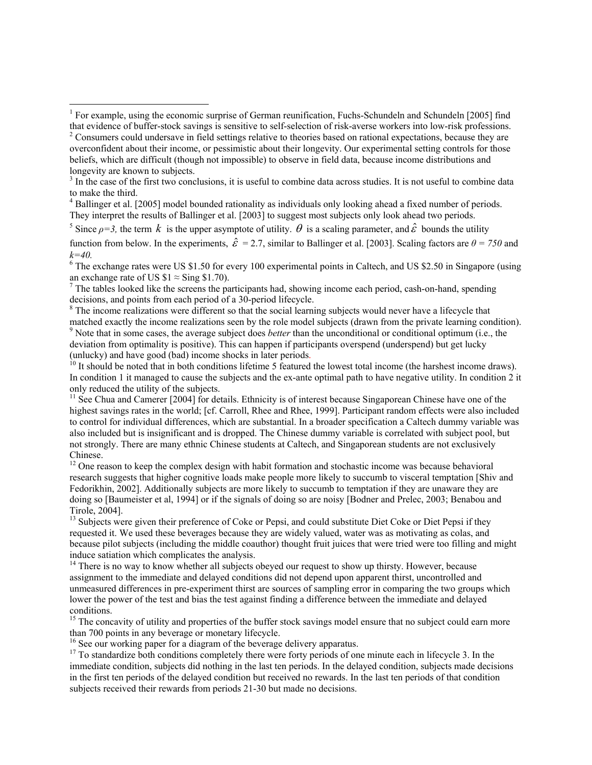<sup>4</sup> Ballinger et al. [2005] model bounded rationality as individuals only looking ahead a fixed number of periods. They interpret the results of Ballinger et al. [2003] to suggest most subjects only look ahead two periods.

<sup>5</sup> Since  $\rho = 3$ , the term  $k$  is the upper asymptote of utility.  $\theta$  is a scaling parameter, and  $\hat{\varepsilon}$  bounds the utility

<sup>6</sup> The exchange rates were US \$1.50 for every 100 experimental points in Caltech, and US \$2.50 in Singapore (using an exchange rate of US  $$1 \approx$  Sing \$1.70).

 $\frac{7}{1}$  The tables looked like the screens the participants had, showing income each period, cash-on-hand, spending decisions, and points from each period of a 30-period lifecycle.

<sup>8</sup> The income realizations were different so that the social learning subjects would never have a lifecycle that matched exactly the income realizations seen by the role model subjects (drawn from the private learning condition). 9 <sup>9</sup> Note that in some cases, the average subject does *better* than the unconditional or conditional optimum (i.e., the deviation from optimality is positive). This can happen if participants overspend (underspend) but get lucky (unlucky) and have good (bad) income shocks in later periods.

 $^{10}$  It should be noted that in both conditions lifetime 5 featured the lowest total income (the harshest income draws). In condition 1 it managed to cause the subjects and the ex-ante optimal path to have negative utility. In condition 2 it only reduced the utility of the subjects.

 $11$  See Chua and Camerer [2004] for details. Ethnicity is of interest because Singaporean Chinese have one of the highest savings rates in the world; [cf. Carroll, Rhee and Rhee, 1999]. Participant random effects were also included to control for individual differences, which are substantial. In a broader specification a Caltech dummy variable was also included but is insignificant and is dropped. The Chinese dummy variable is correlated with subject pool, but not strongly. There are many ethnic Chinese students at Caltech, and Singaporean students are not exclusively Chinese.

 $12$  One reason to keep the complex design with habit formation and stochastic income was because behavioral research suggests that higher cognitive loads make people more likely to succumb to visceral temptation [Shiv and Fedorikhin, 2002]. Additionally subjects are more likely to succumb to temptation if they are unaware they are doing so [Baumeister et al, 1994] or if the signals of doing so are noisy [Bodner and Prelec, 2003; Benabou and Tirole, 2004].

<sup>13</sup> Subjects were given their preference of Coke or Pepsi, and could substitute Diet Coke or Diet Pepsi if they requested it. We used these beverages because they are widely valued, water was as motivating as colas, and because pilot subjects (including the middle coauthor) thought fruit juices that were tried were too filling and might induce satiation which complicates the analysis.

<sup>14</sup> There is no way to know whether all subjects obeyed our request to show up thirsty. However, because assignment to the immediate and delayed conditions did not depend upon apparent thirst, uncontrolled and unmeasured differences in pre-experiment thirst are sources of sampling error in comparing the two groups which lower the power of the test and bias the test against finding a difference between the immediate and delayed conditions.

<sup>15</sup> The concavity of utility and properties of the buffer stock savings model ensure that no subject could earn more than 700 points in any beverage or monetary lifecycle.

<sup>16</sup> See our working paper for a diagram of the beverage delivery apparatus.

<sup>17</sup> To standardize both conditions completely there were forty periods of one minute each in lifecycle 3. In the immediate condition, subjects did nothing in the last ten periods. In the delayed condition, subjects made decisions in the first ten periods of the delayed condition but received no rewards. In the last ten periods of that condition subjects received their rewards from periods 21-30 but made no decisions.

<sup>&</sup>lt;sup>1</sup> For example, using the economic surprise of German reunification, Fuchs-Schundeln and Schundeln [2005] find that evidence of buffer-stock savings is sensitive to self-selection of risk-averse workers into low-risk professions. 2

<sup>&</sup>lt;sup>2</sup> Consumers could undersave in field settings relative to theories based on rational expectations, because they are overconfident about their income, or pessimistic about their longevity. Our experimental setting controls for those beliefs, which are difficult (though not impossible) to observe in field data, because income distributions and longevity are known to subjects.

<sup>&</sup>lt;sup>3</sup> In the case of the first two conclusions, it is useful to combine data across studies. It is not useful to combine data to make the third.

function from below. In the experiments,  $\hat{\epsilon} = 2.7$ , similar to Ballinger et al. [2003]. Scaling factors are  $\theta = 750$  and *k=40.*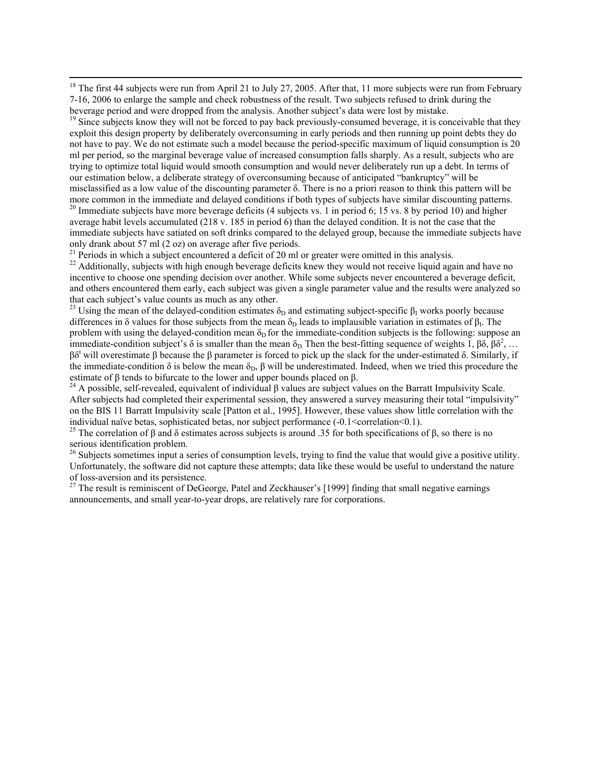<sup>18</sup> The first 44 subjects were run from April 21 to July 27, 2005. After that, 11 more subjects were run from February 7-16, 2006 to enlarge the sample and check robustness of the result. Two subjects refused to drink during the beverage period and were dropped from the analysis. Another subject's data were lost by mistake.

 $19$  Since subjects know they will not be forced to pay back previously-consumed beverage, it is conceivable that they exploit this design property by deliberately overconsuming in early periods and then running up point debts they do not have to pay. We do not estimate such a model because the period-specific maximum of liquid consumption is 20 ml per period, so the marginal beverage value of increased consumption falls sharply. As a result, subjects who are trying to optimize total liquid would smooth consumption and would never deliberately run up a debt. In terms of our estimation below, a deliberate strategy of overconsuming because of anticipated "bankruptcy" will be misclassified as a low value of the discounting parameter  $\delta$ . There is no a priori reason to think this pattern will be more common in the immediate and delayed conditions if both types of subjects have similar discounting patterns.

 $20$  Immediate subjects have more beverage deficits (4 subjects vs. 1 in period 6; 15 vs. 8 by period 10) and higher average habit levels accumulated (218 v. 185 in period 6) than the delayed condition. It is not the case that the immediate subjects have satiated on soft drinks compared to the delayed group, because the immediate subjects have only drank about 57 ml (2 oz) on average after five periods.<br><sup>21</sup> Periods in which a subject encountered a deficit of 20 ml or greater were omitted in this analysis.

<sup>22</sup> Additionally, subjects with high enough beverage deficits knew they would not receive liquid again and have no incentive to choose one spending decision over another. While some subjects never encountered a beverage deficit, and others encountered them early, each subject was given a single parameter value and the results were analyzed so that each subject's value counts as much as any other.

<sup>23</sup> Using the mean of the delayed-condition estimates  $\delta_D$  and estimating subject-specific  $\beta_I$  works poorly because differences in δ values for those subjects from the mean  $\delta_D$  leads to implausible variation in estimates of  $\beta_I$ . The problem with using the delayed-condition mean  $\delta_D$  for the immediate-condition subjects is the following: suppose an immediate-condition subject's  $\delta$  is smaller than the mean  $\delta_D$ . Then the best-fitting sequence of weights 1,  $\beta \delta$ ,  $\beta \delta^2$ , ...  $βδ<sup>t</sup>$  will overestimate  $β$  because the  $β$  parameter is forced to pick up the slack for the under-estimated  $δ$ . Similarly, if the immediate-condition  $\delta$  is below the mean  $\delta_D$ ,  $\beta$  will be underestimated. Indeed, when we tried this procedure the estimate of  $\beta$  tends to bifurcate to the lower and upper bounds placed on  $\beta$ .

<sup>24</sup> A possible, self-revealed, equivalent of individual β values are subject values on the Barratt Impulsivity Scale. After subjects had completed their experimental session, they answered a survey measuring their total "impulsivity" on the BIS 11 Barratt Impulsivity scale [Patton et al., 1995]. However, these values show little correlation with the individual naïve betas, sophisticated betas, nor subject performance (-0.1<correlation<0.1).

<sup>25</sup> The correlation of β and δ estimates across subjects is around .35 for both specifications of β, so there is no serious identification problem.

<sup>26</sup> Subjects sometimes input a series of consumption levels, trying to find the value that would give a positive utility. Unfortunately, the software did not capture these attempts; data like these would be useful to understand the nature of loss-aversion and its persistence.

<sup>27</sup> The result is reminiscent of DeGeorge, Patel and Zeckhauser's [1999] finding that small negative earnings announcements, and small year-to-year drops, are relatively rare for corporations.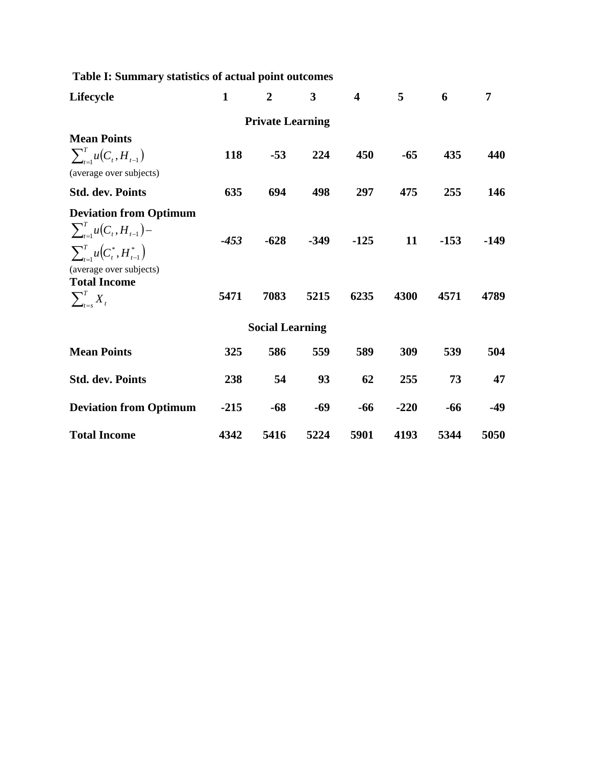| Table I: Summary statistics of actual point outcomes                                                                                                                                  |                |                        |                |                         |            |                |                |  |  |  |
|---------------------------------------------------------------------------------------------------------------------------------------------------------------------------------------|----------------|------------------------|----------------|-------------------------|------------|----------------|----------------|--|--|--|
| Lifecycle                                                                                                                                                                             | $\mathbf{1}$   | $\boldsymbol{2}$       | 3              | $\overline{\mathbf{4}}$ | 5          | 6              | 7              |  |  |  |
| <b>Private Learning</b>                                                                                                                                                               |                |                        |                |                         |            |                |                |  |  |  |
| <b>Mean Points</b>                                                                                                                                                                    |                |                        |                |                         |            |                |                |  |  |  |
| $\sum_{t=1}^{T} u(C_t, H_{t-1})$<br>(average over subjects)                                                                                                                           | 118            | $-53$                  | 224            | 450                     | $-65$      | 435            | 440            |  |  |  |
| <b>Std. dev. Points</b>                                                                                                                                                               | 635            | 694                    | 498            | 297                     | 475        | 255            | 146            |  |  |  |
| <b>Deviation from Optimum</b><br>$\sum_{t=1}^{T} u(C_t, H_{t-1}) -$<br>$\sum_{t=1}^{T} u(C_t^*, H_{t-1}^*)$<br>(average over subjects)<br><b>Total Income</b><br>$\sum_{t=s}^{T} X_t$ | $-453$<br>5471 | $-628$<br>7083         | $-349$<br>5215 | $-125$<br>6235          | 11<br>4300 | $-153$<br>4571 | $-149$<br>4789 |  |  |  |
|                                                                                                                                                                                       |                | <b>Social Learning</b> |                |                         |            |                |                |  |  |  |
| <b>Mean Points</b>                                                                                                                                                                    | 325            | 586                    | 559            | 589                     | 309        | 539            | 504            |  |  |  |
| <b>Std. dev. Points</b>                                                                                                                                                               | 238            | 54                     | 93             | 62                      | 255        | 73             | 47             |  |  |  |
| <b>Deviation from Optimum</b>                                                                                                                                                         | $-215$         | $-68$                  | $-69$          | $-66$                   | $-220$     | -66            | $-49$          |  |  |  |
| <b>Total Income</b>                                                                                                                                                                   | 4342           | 5416                   | 5224           | 5901                    | 4193       | 5344           | 5050           |  |  |  |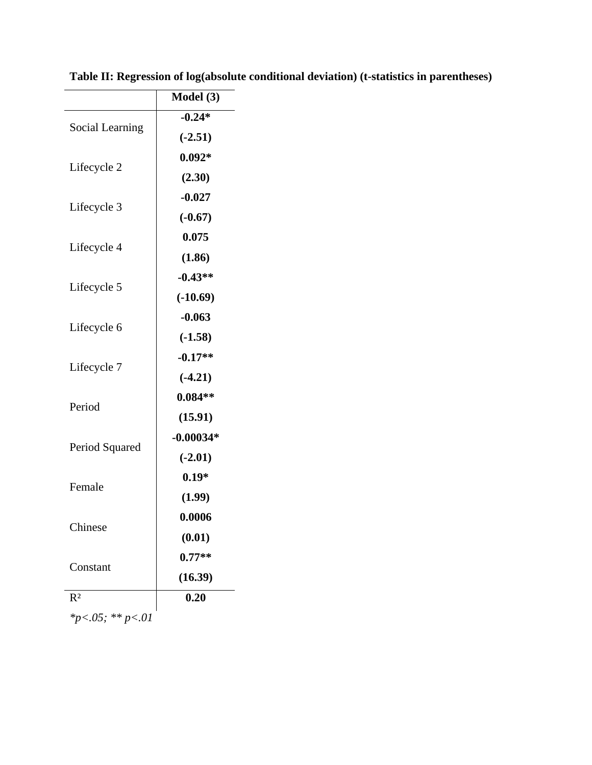|                  | Model (3)   |
|------------------|-------------|
| Social Learning  | $-0.24*$    |
|                  | $(-2.51)$   |
| Lifecycle 2      | $0.092*$    |
|                  | (2.30)      |
| Lifecycle 3      | $-0.027$    |
|                  | $(-0.67)$   |
|                  | 0.075       |
| Lifecycle 4      | (1.86)      |
|                  | $-0.43**$   |
| Lifecycle 5      | $(-10.69)$  |
|                  | $-0.063$    |
| Lifecycle 6      | $(-1.58)$   |
|                  | $-0.17**$   |
| Lifecycle 7      | $(-4.21)$   |
|                  | $0.084**$   |
| Period           | (15.91)     |
|                  | $-0.00034*$ |
| Period Squared   | $(-2.01)$   |
|                  | $0.19*$     |
| Female           | (1.99)      |
|                  | 0.0006      |
| Chinese          | (0.01)      |
|                  | $0.77**$    |
| Constant         | (16.39)     |
| $R^2$            | 0.20        |
| *p<.05; ** p<.01 |             |

**Table II: Regression of log(absolute conditional deviation) (t-statistics in parentheses)**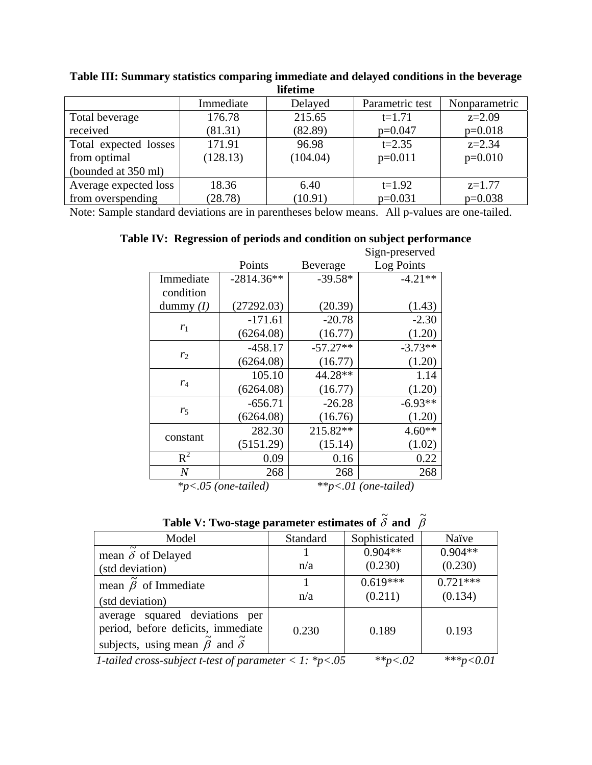| memme                 |           |          |                 |               |  |  |  |  |
|-----------------------|-----------|----------|-----------------|---------------|--|--|--|--|
|                       | Immediate | Delayed  | Parametric test | Nonparametric |  |  |  |  |
| Total beverage        | 176.78    | 215.65   | $t=1.71$        | $z=2.09$      |  |  |  |  |
| received              | (81.31)   | (82.89)  | $p=0.047$       | $p=0.018$     |  |  |  |  |
| Total expected losses | 171.91    | 96.98    | $t = 2.35$      | $z = 2.34$    |  |  |  |  |
| from optimal          | (128.13)  | (104.04) | $p=0.011$       | $p=0.010$     |  |  |  |  |
| (bounded at 350 ml)   |           |          |                 |               |  |  |  |  |
| Average expected loss | 18.36     | 6.40     | $t=1.92$        | $z=1.77$      |  |  |  |  |
| from overspending     | (28.78)   | (10.91)  | $p=0.031$       | $p=0.038$     |  |  |  |  |

**Table III: Summary statistics comparing immediate and delayed conditions in the beverage lifetime** 

Note: Sample standard deviations are in parentheses below means. All p-values are one-tailed.

|  |  |                 | Table IV: Regression of periods and condition on subject performance |
|--|--|-----------------|----------------------------------------------------------------------|
|  |  | $Sian-nreserve$ |                                                                      |

|                |              |            | Sign-preserved |
|----------------|--------------|------------|----------------|
|                | Points       | Beverage   | Log Points     |
| Immediate      | $-2814.36**$ | $-39.58*$  | $-4.21**$      |
| condition      |              |            |                |
| dummy $(I)$    | (27292.03)   | (20.39)    | (1.43)         |
|                | $-171.61$    | $-20.78$   | $-2.30$        |
| $r_1$          | (6264.08)    | (16.77)    | (1.20)         |
|                | $-458.17$    | $-57.27**$ | $-3.73**$      |
| r <sub>2</sub> | (6264.08)    | (16.77)    | (1.20)         |
|                | 105.10       | 44.28**    | 1.14           |
| $r_4$          | (6264.08)    | (16.77)    | (1.20)         |
|                | $-656.71$    | $-26.28$   | $-6.93**$      |
| $r_{5}$        | (6264.08)    | (16.76)    | (1.20)         |
|                | 282.30       | 215.82**   | $4.60**$       |
| constant       | (5151.29)    | (15.14)    | (1.02)         |
| $R^2$          | 0.09         | 0.16       | 0.22           |
| $\overline{N}$ | 268          | 268        | 268            |

*\*p<.05 (one-tailed) \*\*p<.01 (one-tailed)* 

| Table V: Two-stage parameter estimates of $\delta$ and $\beta$ |  |  |
|----------------------------------------------------------------|--|--|
|                                                                |  |  |

| Model                                                                                                             | Standard | Sophisticated | Naïve        |
|-------------------------------------------------------------------------------------------------------------------|----------|---------------|--------------|
| mean $\delta$ of Delayed                                                                                          |          | $0.904**$     | $0.904**$    |
| (std deviation)                                                                                                   | n/a      | (0.230)       | (0.230)      |
| mean $\tilde{\beta}$ of Immediate                                                                                 |          | $0.619***$    | $0.721***$   |
| (std deviation)                                                                                                   | n/a      | (0.211)       | (0.134)      |
| average squared deviations per<br>period, before deficits, immediate<br>subjects, using mean $\beta$ and $\delta$ | 0.230    | 0.189         | 0.193        |
| 1-tailed cross-subject t-test of parameter < 1: *p<.05                                                            |          | ** $p < .02$  | *** $p<0.01$ |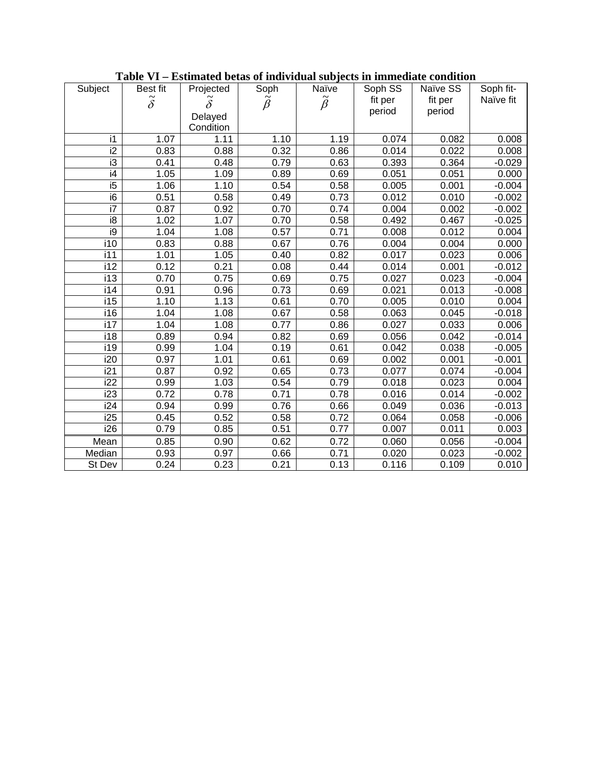| Subject          | Best fit         | Projected        | Soph            | Naïve           | Soph SS | Naïve SS | Soph fit- |
|------------------|------------------|------------------|-----------------|-----------------|---------|----------|-----------|
|                  | $\tilde{\delta}$ | $\tilde{\delta}$ | $\tilde{\beta}$ | $\tilde{\beta}$ | fit per | fit per  | Naïve fit |
|                  |                  | Delayed          |                 |                 | period  | period   |           |
|                  |                  | Condition        |                 |                 |         |          |           |
| i1               | 1.07             | 1.11             | 1.10            | 1.19            | 0.074   | 0.082    | 0.008     |
| i2               | 0.83             | 0.88             | 0.32            | 0.86            | 0.014   | 0.022    | 0.008     |
| i3               | 0.41             | 0.48             | 0.79            | 0.63            | 0.393   | 0.364    | $-0.029$  |
| $\overline{14}$  | 1.05             | 1.09             | 0.89            | 0.69            | 0.051   | 0.051    | 0.000     |
| i5               | 1.06             | 1.10             | 0.54            | 0.58            | 0.005   | 0.001    | $-0.004$  |
| i6               | 0.51             | 0.58             | 0.49            | 0.73            | 0.012   | 0.010    | $-0.002$  |
| i7               | 0.87             | 0.92             | 0.70            | 0.74            | 0.004   | 0.002    | $-0.002$  |
| i8               | 1.02             | 1.07             | 0.70            | 0.58            | 0.492   | 0.467    | $-0.025$  |
| $\overline{19}$  | 1.04             | 1.08             | 0.57            | 0.71            | 0.008   | 0.012    | 0.004     |
| i10              | 0.83             | 0.88             | 0.67            | 0.76            | 0.004   | 0.004    | 0.000     |
| i11              | 1.01             | 1.05             | 0.40            | 0.82            | 0.017   | 0.023    | 0.006     |
| i12              | 0.12             | 0.21             | 0.08            | 0.44            | 0.014   | 0.001    | $-0.012$  |
| i13              | 0.70             | 0.75             | 0.69            | 0.75            | 0.027   | 0.023    | $-0.004$  |
| i14              | 0.91             | 0.96             | 0.73            | 0.69            | 0.021   | 0.013    | $-0.008$  |
| $\overline{115}$ | 1.10             | 1.13             | 0.61            | 0.70            | 0.005   | 0.010    | 0.004     |
| i16              | 1.04             | 1.08             | 0.67            | 0.58            | 0.063   | 0.045    | $-0.018$  |
| i17              | 1.04             | 1.08             | 0.77            | 0.86            | 0.027   | 0.033    | 0.006     |
| i18              | 0.89             | 0.94             | 0.82            | 0.69            | 0.056   | 0.042    | $-0.014$  |
| i19              | 0.99             | 1.04             | 0.19            | 0.61            | 0.042   | 0.038    | $-0.005$  |
| i20              | 0.97             | 1.01             | 0.61            | 0.69            | 0.002   | 0.001    | $-0.001$  |
| i21              | 0.87             | 0.92             | 0.65            | 0.73            | 0.077   | 0.074    | $-0.004$  |
| i22              | 0.99             | 1.03             | 0.54            | 0.79            | 0.018   | 0.023    | 0.004     |
| i23              | 0.72             | 0.78             | 0.71            | 0.78            | 0.016   | 0.014    | $-0.002$  |
| $\overline{1}24$ | 0.94             | 0.99             | 0.76            | 0.66            | 0.049   | 0.036    | $-0.013$  |
| i25              | 0.45             | 0.52             | 0.58            | 0.72            | 0.064   | 0.058    | $-0.006$  |
| i26              | 0.79             | 0.85             | 0.51            | 0.77            | 0.007   | 0.011    | 0.003     |
| Mean             | 0.85             | 0.90             | 0.62            | 0.72            | 0.060   | 0.056    | $-0.004$  |
| Median           | 0.93             | 0.97             | 0.66            | 0.71            | 0.020   | 0.023    | $-0.002$  |
| St Dev           | 0.24             | 0.23             | 0.21            | 0.13            | 0.116   | 0.109    | 0.010     |

**Table VI – Estimated betas of individual subjects in immediate condition**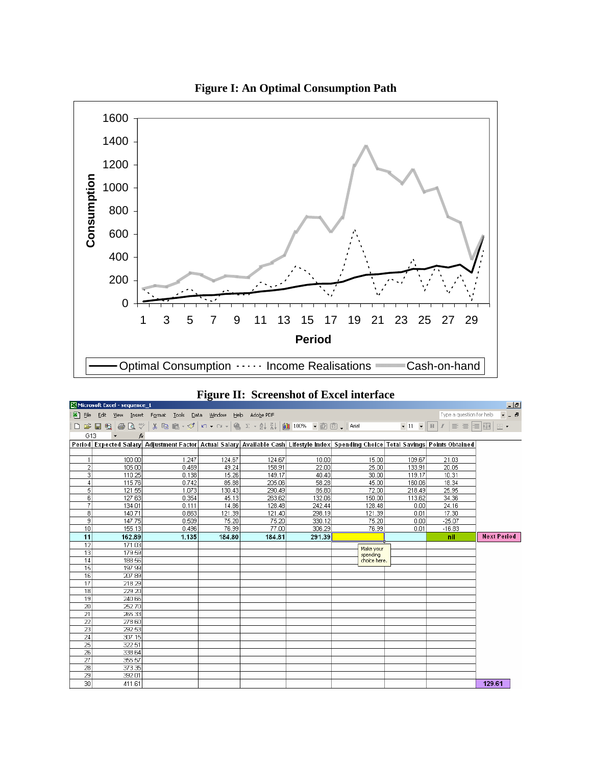

|  | <b>Figure II: Screenshot of Excel interface</b> |  |  |
|--|-------------------------------------------------|--|--|
|--|-------------------------------------------------|--|--|

|                 | Microsoft Excel - sequence_1 |                                                                                                                                     |        |        |        |              |        |                                                                                 | $-1$               |
|-----------------|------------------------------|-------------------------------------------------------------------------------------------------------------------------------------|--------|--------|--------|--------------|--------|---------------------------------------------------------------------------------|--------------------|
|                 |                              | File Edit View Insert Format Tools Data Window Help Adobe PDF                                                                       |        |        |        |              |        | Type a question for help                                                        | $  -$              |
|                 |                              | D <del>B B</del> B B <sup>v</sup> & B B · √ r · α · 8 Σ · 2, 2, 10 100% · © © . And                                                 |        |        |        |              |        | $\bullet 11 \bullet  B 1 \equiv \equiv \equiv \equiv \equiv \equiv \cdot \cdot$ |                    |
| G13             |                              |                                                                                                                                     |        |        |        |              |        |                                                                                 |                    |
|                 |                              | Period Expected Salary Adjustment Factor Actual Salary Available Cash Lifestyle Index Spending Choice Total Savings Points Obtained |        |        |        |              |        |                                                                                 |                    |
|                 |                              |                                                                                                                                     |        |        |        |              |        |                                                                                 |                    |
| 1               | 100.00                       | 1.247                                                                                                                               | 124.67 | 124.67 | 10.00  | 15.00        | 109.67 | 21.03                                                                           |                    |
| $\overline{2}$  | 105.00                       | 0.469                                                                                                                               | 49.24  | 158.91 | 22.00  | 25.00        | 133.91 | 20.05                                                                           |                    |
| 3               | 110.25                       | 0.138                                                                                                                               | 15.26  | 149.17 | 40.40  | 30.00        | 119.17 | 10.31                                                                           |                    |
| $\vert$         | 115.76                       | 0.742                                                                                                                               | 85.88  | 205.06 | 58.28  | 45.00        | 160.06 | 18.34                                                                           |                    |
| 5               | 121.55                       | 1.073                                                                                                                               | 130.43 | 290.49 | 85.80  | 72.00        | 218.49 | 25.95                                                                           |                    |
| 6               | 127.63                       | 0.354                                                                                                                               | 45.13  | 263.62 | 132.06 | 150.00       | 113.62 | 34.36                                                                           |                    |
| 7               | 134.01                       | 0.111                                                                                                                               | 14.86  | 128.48 | 242.44 | 128.48       | 0.00   | 24.16                                                                           |                    |
| 8               | 140.71                       | 0.863                                                                                                                               | 121.39 | 121.40 | 298.19 | 121.39       | 0.01   | 17.30                                                                           |                    |
| 9               | 147.75                       | 0.509                                                                                                                               | 75.20  | 75.20  | 330.12 | 75.20        | 0.00   | $-25.07$                                                                        |                    |
| 10              | 155.13                       | 0.496                                                                                                                               | 76.99  | 77.00  | 306.29 | 76.99        | 0.01   | $-16.83$                                                                        |                    |
| 11              | 162.89                       | 1.135                                                                                                                               | 184 80 | 184 81 | 291.39 |              |        | nil                                                                             | <b>Next Period</b> |
| 12              | 171.03                       |                                                                                                                                     |        |        |        | Make your    |        |                                                                                 |                    |
| 13              | 179.59                       |                                                                                                                                     |        |        |        | spending     |        |                                                                                 |                    |
| 14              | 188.56                       |                                                                                                                                     |        |        |        | choice here. |        |                                                                                 |                    |
| 15              | 197.99                       |                                                                                                                                     |        |        |        |              |        |                                                                                 |                    |
| 16              | 207.89                       |                                                                                                                                     |        |        |        |              |        |                                                                                 |                    |
| 17              | 218.29                       |                                                                                                                                     |        |        |        |              |        |                                                                                 |                    |
| 18              | 229.20                       |                                                                                                                                     |        |        |        |              |        |                                                                                 |                    |
| 19              | 240.66                       |                                                                                                                                     |        |        |        |              |        |                                                                                 |                    |
| 20              | 252.70                       |                                                                                                                                     |        |        |        |              |        |                                                                                 |                    |
| $\overline{21}$ | 265.33                       |                                                                                                                                     |        |        |        |              |        |                                                                                 |                    |
| $\overline{22}$ | 278.60                       |                                                                                                                                     |        |        |        |              |        |                                                                                 |                    |
| $\overline{23}$ | 292.53                       |                                                                                                                                     |        |        |        |              |        |                                                                                 |                    |
| 24              | 307.15                       |                                                                                                                                     |        |        |        |              |        |                                                                                 |                    |
| 25              | 322.51                       |                                                                                                                                     |        |        |        |              |        |                                                                                 |                    |
| $\overline{26}$ | 338.64                       |                                                                                                                                     |        |        |        |              |        |                                                                                 |                    |
| $\overline{27}$ | 355.57                       |                                                                                                                                     |        |        |        |              |        |                                                                                 |                    |
| $\overline{28}$ | 373.35                       |                                                                                                                                     |        |        |        |              |        |                                                                                 |                    |
| $\overline{29}$ | 392.01                       |                                                                                                                                     |        |        |        |              |        |                                                                                 |                    |
| зol             | 411 61                       |                                                                                                                                     |        |        |        |              |        |                                                                                 | 129.61             |

**Figure I: An Optimal Consumption Path**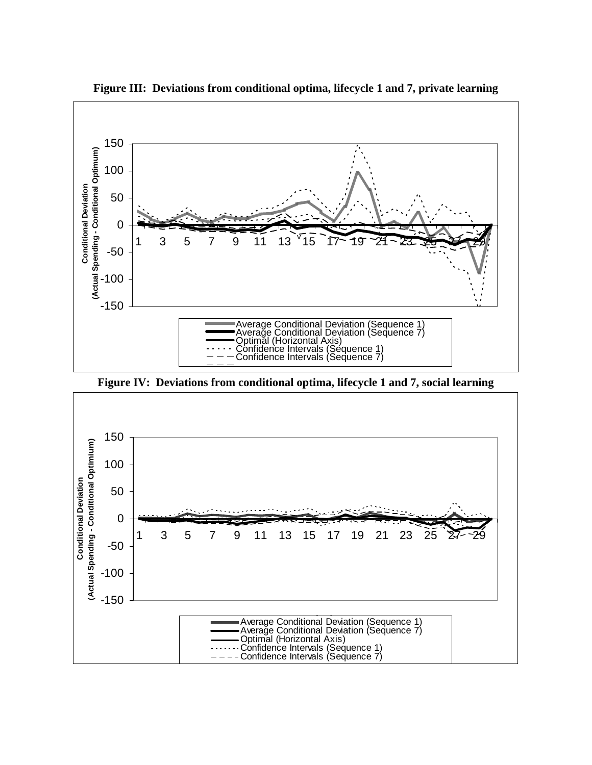

**Figure III: Deviations from conditional optima, lifecycle 1 and 7, private learning** 

**Figure IV: Deviations from conditional optima, lifecycle 1 and 7, social learning**

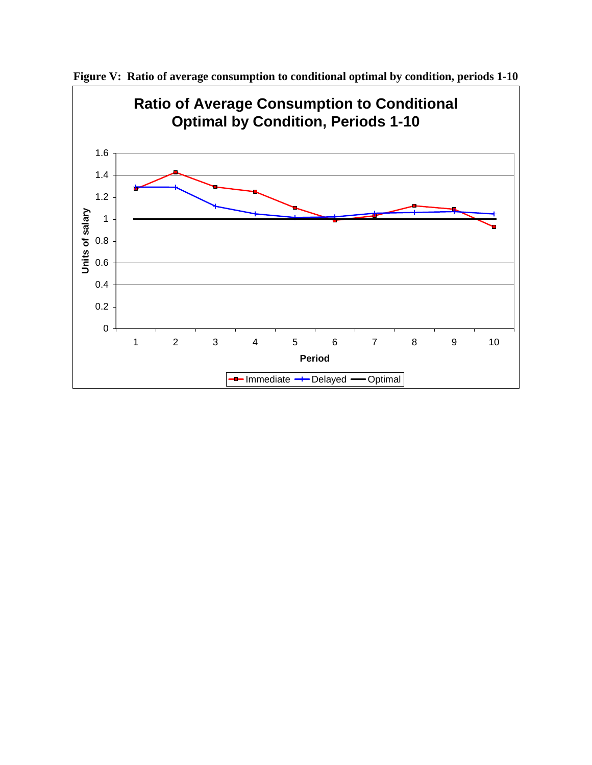

**Figure V: Ratio of average consumption to conditional optimal by condition, periods 1-10**